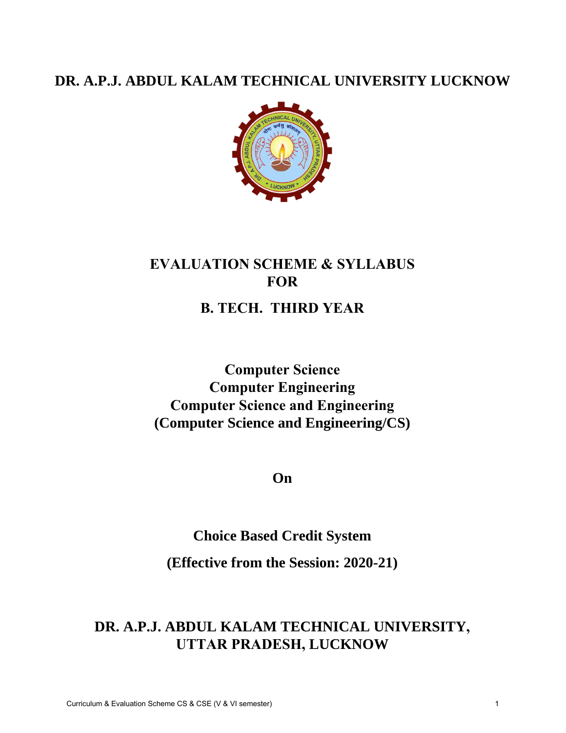## **DR. A.P.J. ABDUL KALAM TECHNICAL UNIVERSITY LUCKNOW**



# **EVALUATION SCHEME & SYLLABUS FOR B. TECH. THIRD YEAR**

**Computer Science Computer Engineering Computer Science and Engineering (Computer Science and Engineering/CS)** 

**On** 

**Choice Based Credit System** 

**(Effective from the Session: 2020-21)** 

## **DR. A.P.J. ABDUL KALAM TECHNICAL UNIVERSITY, UTTAR PRADESH, LUCKNOW**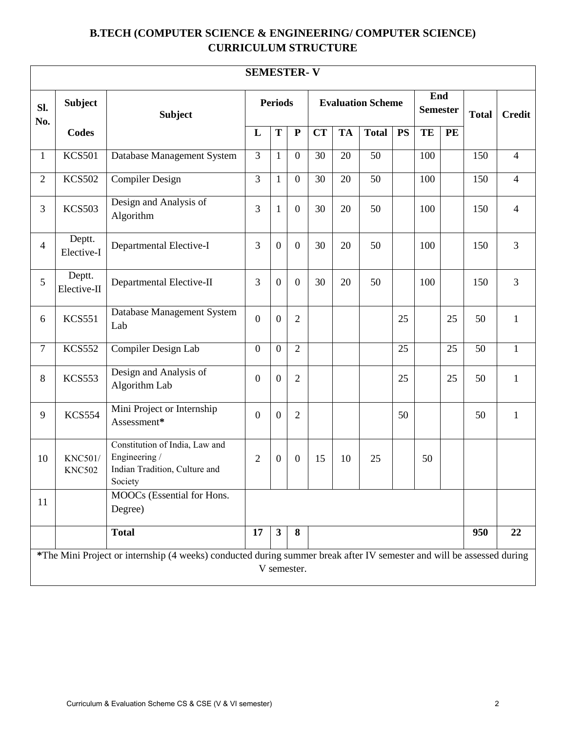## **B.TECH (COMPUTER SCIENCE & ENGINEERING/ COMPUTER SCIENCE) CURRICULUM STRUCTURE**

|                | <b>SEMESTER-V</b>                                                                                                                    |                                                                                             |                  |                  |                  |           |           |                          |           |                        |    |              |                |
|----------------|--------------------------------------------------------------------------------------------------------------------------------------|---------------------------------------------------------------------------------------------|------------------|------------------|------------------|-----------|-----------|--------------------------|-----------|------------------------|----|--------------|----------------|
| Sl.<br>No.     | <b>Subject</b>                                                                                                                       | <b>Subject</b>                                                                              |                  | <b>Periods</b>   |                  |           |           | <b>Evaluation Scheme</b> |           | End<br><b>Semester</b> |    | <b>Total</b> | <b>Credit</b>  |
|                | <b>Codes</b>                                                                                                                         |                                                                                             | L                | T                | ${\bf P}$        | <b>CT</b> | <b>TA</b> | <b>Total</b>             | <b>PS</b> | TE                     | PE |              |                |
| $\mathbf{1}$   | <b>KCS501</b>                                                                                                                        | Database Management System                                                                  | 3                | $\mathbf{1}$     | $\overline{0}$   | 30        | 20        | 50                       |           | 100                    |    | 150          | $\overline{4}$ |
| $\overline{2}$ | <b>KCS502</b>                                                                                                                        | <b>Compiler Design</b>                                                                      | $\overline{3}$   | $\mathbf{1}$     | $\overline{0}$   | 30        | 20        | $\overline{50}$          |           | 100                    |    | 150          | $\overline{4}$ |
| 3              | <b>KCS503</b>                                                                                                                        | Design and Analysis of<br>Algorithm                                                         | 3                | 1                | $\theta$         | 30        | 20        | 50                       |           | 100                    |    | 150          | $\overline{4}$ |
| $\overline{4}$ | Deptt.<br>Elective-I                                                                                                                 | Departmental Elective-I                                                                     | 3                | $\overline{0}$   | $\overline{0}$   | 30        | 20        | 50                       |           | 100                    |    | 150          | $\overline{3}$ |
| 5              | Deptt.<br>Elective-II                                                                                                                | Departmental Elective-II                                                                    | 3                | $\boldsymbol{0}$ | $\boldsymbol{0}$ | 30        | 20        | 50                       |           | 100                    |    | 150          | $\overline{3}$ |
| 6              | <b>KCS551</b>                                                                                                                        | Database Management System<br>Lab                                                           | $\overline{0}$   | $\overline{0}$   | $\overline{2}$   |           |           |                          | 25        |                        | 25 | 50           | $\mathbf{1}$   |
| 7              | <b>KCS552</b>                                                                                                                        | Compiler Design Lab                                                                         | $\mathbf{0}$     | $\overline{0}$   | $\overline{2}$   |           |           |                          | 25        |                        | 25 | 50           | $\mathbf{1}$   |
| 8              | <b>KCS553</b>                                                                                                                        | Design and Analysis of<br>Algorithm Lab                                                     | $\boldsymbol{0}$ | $\overline{0}$   | $\overline{2}$   |           |           |                          | 25        |                        | 25 | 50           | $\mathbf{1}$   |
| 9              | <b>KCS554</b>                                                                                                                        | Mini Project or Internship<br>Assessment*                                                   | $\boldsymbol{0}$ | $\boldsymbol{0}$ | $\overline{2}$   |           |           |                          | 50        |                        |    | 50           | $\mathbf{1}$   |
| 10             | <b>KNC501/</b><br><b>KNC502</b>                                                                                                      | Constitution of India, Law and<br>Engineering /<br>Indian Tradition, Culture and<br>Society | $\overline{2}$   | $\boldsymbol{0}$ | $\theta$         | 15        | 10        | 25                       |           | 50                     |    |              |                |
| 11             |                                                                                                                                      | MOOCs (Essential for Hons.<br>Degree)                                                       |                  |                  |                  |           |           |                          |           |                        |    |              |                |
|                |                                                                                                                                      | <b>Total</b>                                                                                | 17               | $\mathbf{3}$     | 8                |           |           |                          |           |                        |    | 950          | 22             |
|                | *The Mini Project or internship (4 weeks) conducted during summer break after IV semester and will be assessed during<br>V semester. |                                                                                             |                  |                  |                  |           |           |                          |           |                        |    |              |                |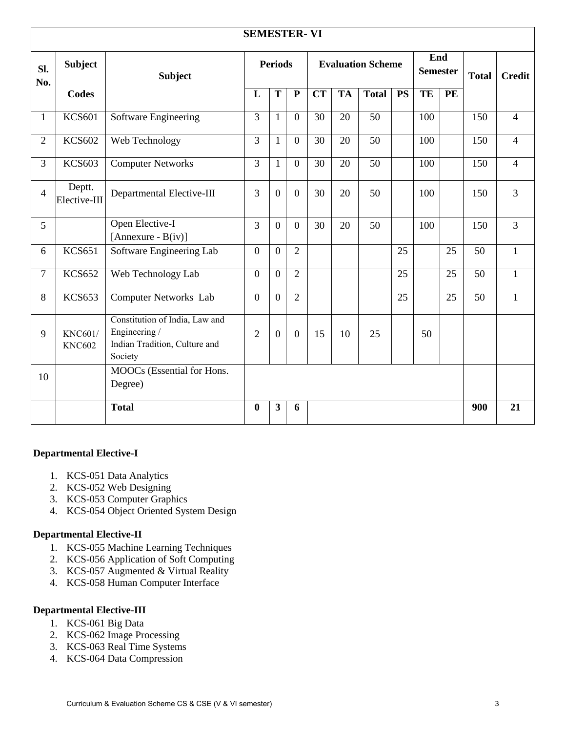|                | <b>SEMESTER-VI</b>              |                                                                                             |                |                         |                |           |           |              |                                                    |     |              |               |                |
|----------------|---------------------------------|---------------------------------------------------------------------------------------------|----------------|-------------------------|----------------|-----------|-----------|--------------|----------------------------------------------------|-----|--------------|---------------|----------------|
| Sl.<br>No.     | <b>Subject</b>                  | <b>Subject</b>                                                                              |                | <b>Periods</b>          |                |           |           |              | End<br><b>Evaluation Scheme</b><br><b>Semester</b> |     | <b>Total</b> | <b>Credit</b> |                |
|                | Codes                           |                                                                                             | L              | T                       | ${\bf P}$      | <b>CT</b> | <b>TA</b> | <b>Total</b> | <b>PS</b>                                          | TE  | <b>PE</b>    |               |                |
| $\mathbf{1}$   | <b>KCS601</b>                   | Software Engineering                                                                        | 3              | $\mathbf{1}$            | $\overline{0}$ | 30        | 20        | 50           |                                                    | 100 |              | 150           | $\overline{4}$ |
| $\overline{2}$ | <b>KCS602</b>                   | Web Technology                                                                              | 3              | $\mathbf{1}$            | $\overline{0}$ | 30        | 20        | 50           |                                                    | 100 |              | 150           | $\overline{4}$ |
| 3              | <b>KCS603</b>                   | <b>Computer Networks</b>                                                                    | 3              | $\mathbf{1}$            | $\overline{0}$ | 30        | 20        | 50           |                                                    | 100 |              | 150           | $\overline{4}$ |
| $\overline{4}$ | Deptt.<br>Elective-III          | Departmental Elective-III                                                                   | 3              | $\mathbf{0}$            | $\overline{0}$ | 30        | 20        | 50           |                                                    | 100 |              | 150           | $\overline{3}$ |
| 5              |                                 | Open Elective-I<br>[Annexure - $B(iv)$ ]                                                    | 3              | $\overline{0}$          | $\overline{0}$ | 30        | 20        | 50           |                                                    | 100 |              | 150           | $\overline{3}$ |
| 6              | <b>KCS651</b>                   | Software Engineering Lab                                                                    | $\overline{0}$ | $\overline{0}$          | $\overline{2}$ |           |           |              | 25                                                 |     | 25           | 50            | $\mathbf{1}$   |
| $\overline{7}$ | <b>KCS652</b>                   | Web Technology Lab                                                                          | $\overline{0}$ | $\overline{0}$          | $\overline{2}$ |           |           |              | 25                                                 |     | 25           | 50            | $\mathbf{1}$   |
| 8              | <b>KCS653</b>                   | Computer Networks Lab                                                                       | $\overline{0}$ | $\overline{0}$          | $\overline{2}$ |           |           |              | 25                                                 |     | 25           | 50            | $\mathbf{1}$   |
| 9              | <b>KNC601/</b><br><b>KNC602</b> | Constitution of India, Law and<br>Engineering /<br>Indian Tradition, Culture and<br>Society | $\overline{2}$ | $\mathbf{0}$            | $\overline{0}$ | 15        | 10        | 25           |                                                    | 50  |              |               |                |
| 10             |                                 | MOOCs (Essential for Hons.<br>Degree)                                                       |                |                         |                |           |           |              |                                                    |     |              |               |                |
|                |                                 | <b>Total</b>                                                                                | $\bf{0}$       | $\overline{\mathbf{3}}$ | 6              |           |           |              |                                                    |     |              | 900           | 21             |

#### **Departmental Elective-I**

- 1. KCS-051 Data Analytics
- 2. KCS-052 Web Designing
- 3. KCS-053 Computer Graphics
- 4. KCS-054 Object Oriented System Design

#### **Departmental Elective-II**

- 1. KCS-055 Machine Learning Techniques
- 2. KCS-056 Application of Soft Computing
- 3. KCS-057 Augmented & Virtual Reality
- 4. KCS-058 Human Computer Interface

#### **Departmental Elective-III**

- 1. KCS-061 Big Data
- 2. KCS-062 Image Processing
- 3. KCS-063 Real Time Systems
- 4. KCS-064 Data Compression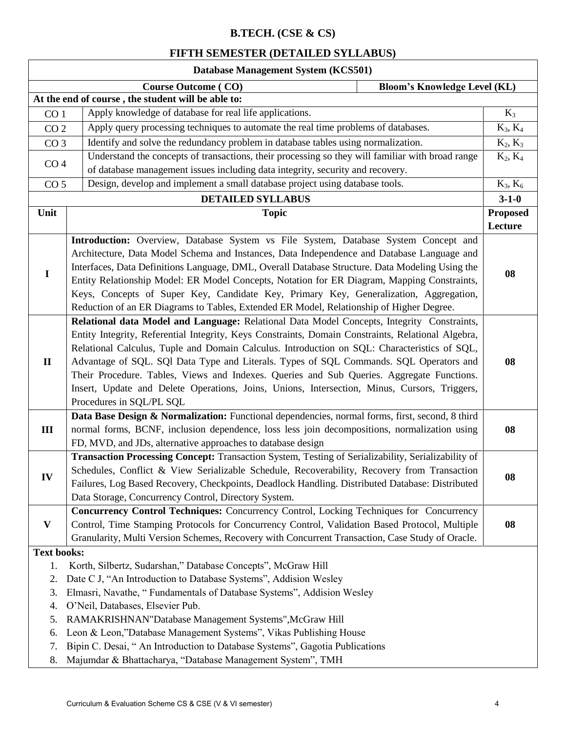### **B.TECH. (CSE & CS)**

### **FIFTH SEMESTER (DETAILED SYLLABUS)**

| Database Management System (KCS501)                                                             |                                                                                                    |                 |  |  |  |
|-------------------------------------------------------------------------------------------------|----------------------------------------------------------------------------------------------------|-----------------|--|--|--|
|                                                                                                 | <b>Course Outcome (CO)</b><br><b>Bloom's Knowledge Level (KL)</b>                                  |                 |  |  |  |
|                                                                                                 | At the end of course, the student will be able to:                                                 |                 |  |  |  |
| CO <sub>1</sub>                                                                                 | Apply knowledge of database for real life applications.                                            | $K_3$           |  |  |  |
| CO <sub>2</sub>                                                                                 | Apply query processing techniques to automate the real time problems of databases.                 | $K_3, K_4$      |  |  |  |
| CO <sub>3</sub>                                                                                 | Identify and solve the redundancy problem in database tables using normalization.                  | $K_2, K_3$      |  |  |  |
|                                                                                                 | Understand the concepts of transactions, their processing so they will familiar with broad range   | $K_2, K_4$      |  |  |  |
| CO <sub>4</sub>                                                                                 | of database management issues including data integrity, security and recovery.                     |                 |  |  |  |
| Design, develop and implement a small database project using database tools.<br>CO <sub>5</sub> |                                                                                                    | $K_3, K_6$      |  |  |  |
|                                                                                                 | <b>DETAILED SYLLABUS</b>                                                                           | $3 - 1 - 0$     |  |  |  |
| Unit                                                                                            | <b>Topic</b>                                                                                       | <b>Proposed</b> |  |  |  |
|                                                                                                 |                                                                                                    | Lecture         |  |  |  |
|                                                                                                 | Introduction: Overview, Database System vs File System, Database System Concept and                |                 |  |  |  |
|                                                                                                 | Architecture, Data Model Schema and Instances, Data Independence and Database Language and         |                 |  |  |  |
|                                                                                                 | Interfaces, Data Definitions Language, DML, Overall Database Structure. Data Modeling Using the    |                 |  |  |  |
| $\mathbf I$                                                                                     | Entity Relationship Model: ER Model Concepts, Notation for ER Diagram, Mapping Constraints,        | 08              |  |  |  |
|                                                                                                 | Keys, Concepts of Super Key, Candidate Key, Primary Key, Generalization, Aggregation,              |                 |  |  |  |
|                                                                                                 | Reduction of an ER Diagrams to Tables, Extended ER Model, Relationship of Higher Degree.           |                 |  |  |  |
|                                                                                                 | Relational data Model and Language: Relational Data Model Concepts, Integrity Constraints,         |                 |  |  |  |
|                                                                                                 | Entity Integrity, Referential Integrity, Keys Constraints, Domain Constraints, Relational Algebra, |                 |  |  |  |
|                                                                                                 | Relational Calculus, Tuple and Domain Calculus. Introduction on SQL: Characteristics of SQL,       |                 |  |  |  |
| $\mathbf{I}$                                                                                    | Advantage of SQL. SQl Data Type and Literals. Types of SQL Commands. SQL Operators and             | 08              |  |  |  |
|                                                                                                 | Their Procedure. Tables, Views and Indexes. Queries and Sub Queries. Aggregate Functions.          |                 |  |  |  |
|                                                                                                 | Insert, Update and Delete Operations, Joins, Unions, Intersection, Minus, Cursors, Triggers,       |                 |  |  |  |
|                                                                                                 | Procedures in SQL/PL SQL                                                                           |                 |  |  |  |
|                                                                                                 | Data Base Design & Normalization: Functional dependencies, normal forms, first, second, 8 third    |                 |  |  |  |
| Ш                                                                                               | normal forms, BCNF, inclusion dependence, loss less join decompositions, normalization using       | 08              |  |  |  |
|                                                                                                 | FD, MVD, and JDs, alternative approaches to database design                                        |                 |  |  |  |
|                                                                                                 | Transaction Processing Concept: Transaction System, Testing of Serializability, Serializability of |                 |  |  |  |
| IV                                                                                              | Schedules, Conflict & View Serializable Schedule, Recoverability, Recovery from Transaction        | 08              |  |  |  |
|                                                                                                 | Failures, Log Based Recovery, Checkpoints, Deadlock Handling. Distributed Database: Distributed    |                 |  |  |  |
|                                                                                                 | Data Storage, Concurrency Control, Directory System.                                               |                 |  |  |  |
|                                                                                                 | Concurrency Control Techniques: Concurrency Control, Locking Techniques for Concurrency            |                 |  |  |  |
| $\mathbf{V}$                                                                                    | Control, Time Stamping Protocols for Concurrency Control, Validation Based Protocol, Multiple      | 08              |  |  |  |
|                                                                                                 | Granularity, Multi Version Schemes, Recovery with Concurrent Transaction, Case Study of Oracle.    |                 |  |  |  |
| <b>Text books:</b>                                                                              |                                                                                                    |                 |  |  |  |
| 1.                                                                                              | Korth, Silbertz, Sudarshan," Database Concepts", McGraw Hill                                       |                 |  |  |  |
| 2.                                                                                              | Date C J, "An Introduction to Database Systems", Addision Wesley                                   |                 |  |  |  |
| 3.                                                                                              | Elmasri, Navathe, "Fundamentals of Database Systems", Addision Wesley                              |                 |  |  |  |
| 4.                                                                                              | O'Neil, Databases, Elsevier Pub.                                                                   |                 |  |  |  |
| 5.                                                                                              | RAMAKRISHNAN"Database Management Systems", McGraw Hill                                             |                 |  |  |  |
| 6.                                                                                              | Leon & Leon,"Database Management Systems", Vikas Publishing House                                  |                 |  |  |  |
| 7.                                                                                              | Bipin C. Desai, "An Introduction to Database Systems", Gagotia Publications                        |                 |  |  |  |
| 8.                                                                                              | Majumdar & Bhattacharya, "Database Management System", TMH                                         |                 |  |  |  |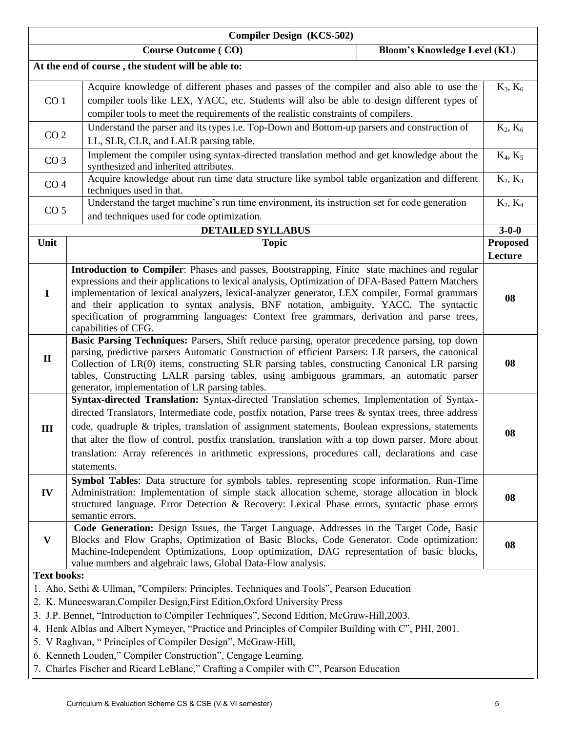| <b>Compiler Design (KCS-502)</b> |                                                                                                                                                                                                                                                                                                                                                                                                                                                                                                                                  |                            |  |  |  |
|----------------------------------|----------------------------------------------------------------------------------------------------------------------------------------------------------------------------------------------------------------------------------------------------------------------------------------------------------------------------------------------------------------------------------------------------------------------------------------------------------------------------------------------------------------------------------|----------------------------|--|--|--|
|                                  | <b>Course Outcome (CO)</b><br><b>Bloom's Knowledge Level (KL)</b>                                                                                                                                                                                                                                                                                                                                                                                                                                                                |                            |  |  |  |
|                                  | At the end of course, the student will be able to:                                                                                                                                                                                                                                                                                                                                                                                                                                                                               |                            |  |  |  |
| CO <sub>1</sub>                  | Acquire knowledge of different phases and passes of the compiler and also able to use the<br>compiler tools like LEX, YACC, etc. Students will also be able to design different types of<br>compiler tools to meet the requirements of the realistic constraints of compilers.                                                                                                                                                                                                                                                   | $K_3, K_6$                 |  |  |  |
|                                  | Understand the parser and its types i.e. Top-Down and Bottom-up parsers and construction of<br>CO <sub>2</sub><br>LL, SLR, CLR, and LALR parsing table.                                                                                                                                                                                                                                                                                                                                                                          |                            |  |  |  |
| CO <sub>3</sub>                  | Implement the compiler using syntax-directed translation method and get knowledge about the<br>synthesized and inherited attributes.                                                                                                                                                                                                                                                                                                                                                                                             | $K_4, K_5$                 |  |  |  |
| CO <sub>4</sub>                  | Acquire knowledge about run time data structure like symbol table organization and different<br>techniques used in that.                                                                                                                                                                                                                                                                                                                                                                                                         | $K_2, K_3$                 |  |  |  |
| CO <sub>5</sub>                  | Understand the target machine's run time environment, its instruction set for code generation<br>and techniques used for code optimization.                                                                                                                                                                                                                                                                                                                                                                                      | $K_2, K_4$                 |  |  |  |
|                                  | <b>DETAILED SYLLABUS</b>                                                                                                                                                                                                                                                                                                                                                                                                                                                                                                         | $3 - 0 - 0$                |  |  |  |
| Unit                             | <b>Topic</b>                                                                                                                                                                                                                                                                                                                                                                                                                                                                                                                     | <b>Proposed</b><br>Lecture |  |  |  |
| $\bf{I}$                         | Introduction to Compiler: Phases and passes, Bootstrapping, Finite state machines and regular<br>expressions and their applications to lexical analysis, Optimization of DFA-Based Pattern Matchers<br>implementation of lexical analyzers, lexical-analyzer generator, LEX compiler, Formal grammars<br>and their application to syntax analysis, BNF notation, ambiguity, YACC. The syntactic<br>specification of programming languages: Context free grammars, derivation and parse trees,<br>capabilities of CFG.            | 08                         |  |  |  |
| $\mathbf{I}$                     | Basic Parsing Techniques: Parsers, Shift reduce parsing, operator precedence parsing, top down<br>parsing, predictive parsers Automatic Construction of efficient Parsers: LR parsers, the canonical<br>Collection of LR(0) items, constructing SLR parsing tables, constructing Canonical LR parsing<br>tables, Constructing LALR parsing tables, using ambiguous grammars, an automatic parser<br>generator, implementation of LR parsing tables.                                                                              |                            |  |  |  |
| III                              | Syntax-directed Translation: Syntax-directed Translation schemes, Implementation of Syntax-<br>directed Translators, Intermediate code, postfix notation, Parse trees & syntax trees, three address<br>code, quadruple & triples, translation of assignment statements, Boolean expressions, statements<br>that alter the flow of control, postfix translation, translation with a top down parser. More about<br>translation: Array references in arithmetic expressions, procedures call, declarations and case<br>statements. | 08                         |  |  |  |
| IV                               | Symbol Tables: Data structure for symbols tables, representing scope information. Run-Time<br>Administration: Implementation of simple stack allocation scheme, storage allocation in block<br>structured language. Error Detection & Recovery: Lexical Phase errors, syntactic phase errors<br>semantic errors.                                                                                                                                                                                                                 | 08                         |  |  |  |
| $\mathbf{V}$                     | Code Generation: Design Issues, the Target Language. Addresses in the Target Code, Basic<br>Blocks and Flow Graphs, Optimization of Basic Blocks, Code Generator. Code optimization:<br>Machine-Independent Optimizations, Loop optimization, DAG representation of basic blocks,<br>value numbers and algebraic laws, Global Data-Flow analysis.                                                                                                                                                                                | 08                         |  |  |  |
| <b>Text books:</b>               | 1. Aho, Sethi & Ullman, "Compilers: Principles, Techniques and Tools", Pearson Education<br>2. K. Muneeswaran, Compiler Design, First Edition, Oxford University Press<br>3. J.P. Bennet, "Introduction to Compiler Techniques", Second Edition, McGraw-Hill, 2003.<br>4. Henk Alblas and Albert Nymeyer, "Practice and Principles of Compiler Building with C", PHI, 2001.<br>5. V Raghvan, "Principles of Compiler Design", McGraw-Hill,<br>6. Kenneth Louden," Compiler Construction", Cengage Learning.                      |                            |  |  |  |

7. Charles Fischer and Ricard LeBlanc," Crafting a Compiler with C", Pearson Education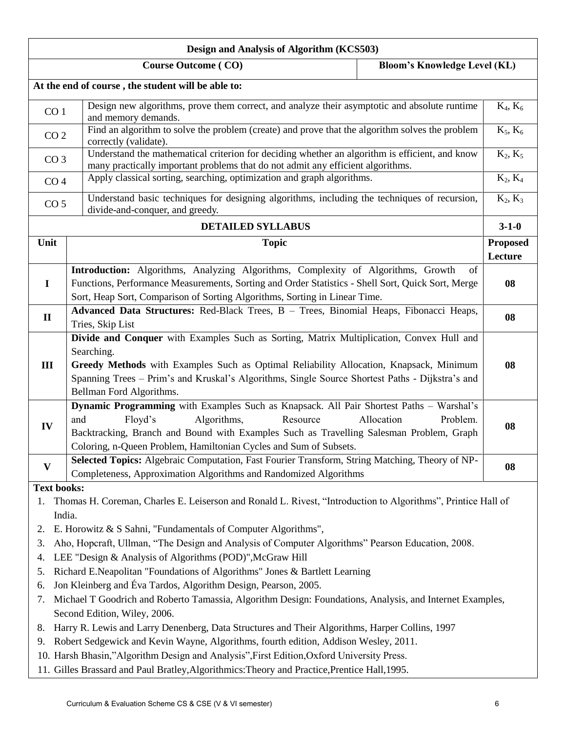| Design and Analysis of Algorithm (KCS503)                                                                                                                                                            |                                                                                                                                                                                                                                                                                                                                 |                                     |             |  |  |  |  |
|------------------------------------------------------------------------------------------------------------------------------------------------------------------------------------------------------|---------------------------------------------------------------------------------------------------------------------------------------------------------------------------------------------------------------------------------------------------------------------------------------------------------------------------------|-------------------------------------|-------------|--|--|--|--|
|                                                                                                                                                                                                      | <b>Course Outcome (CO)</b>                                                                                                                                                                                                                                                                                                      | <b>Bloom's Knowledge Level (KL)</b> |             |  |  |  |  |
|                                                                                                                                                                                                      | At the end of course, the student will be able to:                                                                                                                                                                                                                                                                              |                                     |             |  |  |  |  |
| CO <sub>1</sub>                                                                                                                                                                                      | Design new algorithms, prove them correct, and analyze their asymptotic and absolute runtime<br>and memory demands.                                                                                                                                                                                                             |                                     | $K_4, K_6$  |  |  |  |  |
| CO <sub>2</sub>                                                                                                                                                                                      | Find an algorithm to solve the problem (create) and prove that the algorithm solves the problem<br>correctly (validate).                                                                                                                                                                                                        |                                     | $K_5, K_6$  |  |  |  |  |
| Understand the mathematical criterion for deciding whether an algorithm is efficient, and know<br>CO <sub>3</sub><br>many practically important problems that do not admit any efficient algorithms. |                                                                                                                                                                                                                                                                                                                                 |                                     | $K_2, K_5$  |  |  |  |  |
| CO <sub>4</sub>                                                                                                                                                                                      | Apply classical sorting, searching, optimization and graph algorithms.                                                                                                                                                                                                                                                          |                                     | $K_2, K_4$  |  |  |  |  |
| CO <sub>5</sub>                                                                                                                                                                                      | Understand basic techniques for designing algorithms, including the techniques of recursion,<br>divide-and-conquer, and greedy.                                                                                                                                                                                                 |                                     | $K_2, K_3$  |  |  |  |  |
|                                                                                                                                                                                                      | <b>DETAILED SYLLABUS</b>                                                                                                                                                                                                                                                                                                        |                                     | $3 - 1 - 0$ |  |  |  |  |
| Unit                                                                                                                                                                                                 | <b>Topic</b>                                                                                                                                                                                                                                                                                                                    |                                     |             |  |  |  |  |
|                                                                                                                                                                                                      |                                                                                                                                                                                                                                                                                                                                 |                                     | Lecture     |  |  |  |  |
| $\mathbf I$                                                                                                                                                                                          | Introduction: Algorithms, Analyzing Algorithms, Complexity of Algorithms, Growth<br>Functions, Performance Measurements, Sorting and Order Statistics - Shell Sort, Quick Sort, Merge<br>Sort, Heap Sort, Comparison of Sorting Algorithms, Sorting in Linear Time.                                                             | of                                  | 08          |  |  |  |  |
| $\mathbf{I}$                                                                                                                                                                                         | Advanced Data Structures: Red-Black Trees, B - Trees, Binomial Heaps, Fibonacci Heaps,<br>Tries, Skip List                                                                                                                                                                                                                      |                                     |             |  |  |  |  |
| III                                                                                                                                                                                                  | Divide and Conquer with Examples Such as Sorting, Matrix Multiplication, Convex Hull and<br>Searching.<br>Greedy Methods with Examples Such as Optimal Reliability Allocation, Knapsack, Minimum<br>Spanning Trees - Prim's and Kruskal's Algorithms, Single Source Shortest Paths - Dijkstra's and<br>Bellman Ford Algorithms. |                                     |             |  |  |  |  |
| IV                                                                                                                                                                                                   | Dynamic Programming with Examples Such as Knapsack. All Pair Shortest Paths - Warshal's<br>and<br>Floyd's<br>Algorithms,<br>Resource<br>Allocation<br>Backtracking, Branch and Bound with Examples Such as Travelling Salesman Problem, Graph<br>Coloring, n-Queen Problem, Hamiltonian Cycles and Sum of Subsets.              | Problem.                            | 08          |  |  |  |  |
| $\mathbf{V}$                                                                                                                                                                                         | Selected Topics: Algebraic Computation, Fast Fourier Transform, String Matching, Theory of NP-<br>Completeness, Approximation Algorithms and Randomized Algorithms                                                                                                                                                              |                                     | 08          |  |  |  |  |
| <b>Text books:</b>                                                                                                                                                                                   |                                                                                                                                                                                                                                                                                                                                 |                                     |             |  |  |  |  |
| 1.                                                                                                                                                                                                   | Thomas H. Coreman, Charles E. Leiserson and Ronald L. Rivest, "Introduction to Algorithms", Printice Hall of                                                                                                                                                                                                                    |                                     |             |  |  |  |  |
|                                                                                                                                                                                                      | India.                                                                                                                                                                                                                                                                                                                          |                                     |             |  |  |  |  |
| 2.                                                                                                                                                                                                   | E. Horowitz & S Sahni, "Fundamentals of Computer Algorithms",                                                                                                                                                                                                                                                                   |                                     |             |  |  |  |  |
| 3.                                                                                                                                                                                                   | Aho, Hopcraft, Ullman, "The Design and Analysis of Computer Algorithms" Pearson Education, 2008.<br>LEE "Design & Analysis of Algorithms (POD)", McGraw Hill                                                                                                                                                                    |                                     |             |  |  |  |  |
| 4.<br>5.                                                                                                                                                                                             | Richard E.Neapolitan "Foundations of Algorithms" Jones & Bartlett Learning                                                                                                                                                                                                                                                      |                                     |             |  |  |  |  |
| 6.                                                                                                                                                                                                   | Jon Kleinberg and Éva Tardos, Algorithm Design, Pearson, 2005.                                                                                                                                                                                                                                                                  |                                     |             |  |  |  |  |
| 7.                                                                                                                                                                                                   | Michael T Goodrich and Roberto Tamassia, Algorithm Design: Foundations, Analysis, and Internet Examples,<br>Second Edition, Wiley, 2006.                                                                                                                                                                                        |                                     |             |  |  |  |  |
| 8.                                                                                                                                                                                                   | Harry R. Lewis and Larry Denenberg, Data Structures and Their Algorithms, Harper Collins, 1997                                                                                                                                                                                                                                  |                                     |             |  |  |  |  |
| 9.                                                                                                                                                                                                   | Robert Sedgewick and Kevin Wayne, Algorithms, fourth edition, Addison Wesley, 2011.                                                                                                                                                                                                                                             |                                     |             |  |  |  |  |
|                                                                                                                                                                                                      | 10. Harsh Bhasin,"Algorithm Design and Analysis", First Edition, Oxford University Press.                                                                                                                                                                                                                                       |                                     |             |  |  |  |  |
|                                                                                                                                                                                                      | 11. Gilles Brassard and Paul Bratley, Algorithmics: Theory and Practice, Prentice Hall, 1995.                                                                                                                                                                                                                                   |                                     |             |  |  |  |  |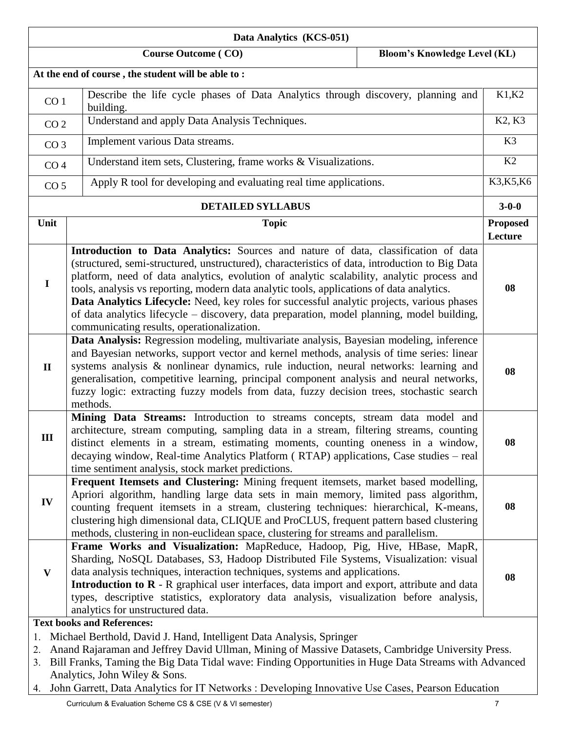| Data Analytics (KCS-051) |                                                                                                                                                                                                                                                                                                                                                                                                                                                                                                                                                                                                                          |                                 |  |  |
|--------------------------|--------------------------------------------------------------------------------------------------------------------------------------------------------------------------------------------------------------------------------------------------------------------------------------------------------------------------------------------------------------------------------------------------------------------------------------------------------------------------------------------------------------------------------------------------------------------------------------------------------------------------|---------------------------------|--|--|
|                          | <b>Bloom's Knowledge Level (KL)</b><br><b>Course Outcome (CO)</b>                                                                                                                                                                                                                                                                                                                                                                                                                                                                                                                                                        |                                 |  |  |
|                          | At the end of course, the student will be able to:                                                                                                                                                                                                                                                                                                                                                                                                                                                                                                                                                                       |                                 |  |  |
| CO <sub>1</sub>          | Describe the life cycle phases of Data Analytics through discovery, planning and<br>building.                                                                                                                                                                                                                                                                                                                                                                                                                                                                                                                            | K1,K2                           |  |  |
| CO <sub>2</sub>          | Understand and apply Data Analysis Techniques.                                                                                                                                                                                                                                                                                                                                                                                                                                                                                                                                                                           | K <sub>2</sub> , K <sub>3</sub> |  |  |
| CO <sub>3</sub>          | Implement various Data streams.                                                                                                                                                                                                                                                                                                                                                                                                                                                                                                                                                                                          | K <sub>3</sub>                  |  |  |
|                          | Understand item sets, Clustering, frame works & Visualizations.<br>CO <sub>4</sub>                                                                                                                                                                                                                                                                                                                                                                                                                                                                                                                                       |                                 |  |  |
| CO <sub>5</sub>          | Apply R tool for developing and evaluating real time applications.                                                                                                                                                                                                                                                                                                                                                                                                                                                                                                                                                       | K3, K5, K6                      |  |  |
|                          | <b>DETAILED SYLLABUS</b>                                                                                                                                                                                                                                                                                                                                                                                                                                                                                                                                                                                                 | $3 - 0 - 0$                     |  |  |
| Unit                     | <b>Topic</b>                                                                                                                                                                                                                                                                                                                                                                                                                                                                                                                                                                                                             | <b>Proposed</b><br>Lecture      |  |  |
| $\mathbf I$              | Introduction to Data Analytics: Sources and nature of data, classification of data<br>(structured, semi-structured, unstructured), characteristics of data, introduction to Big Data<br>platform, need of data analytics, evolution of analytic scalability, analytic process and<br>tools, analysis vs reporting, modern data analytic tools, applications of data analytics.<br>Data Analytics Lifecycle: Need, key roles for successful analytic projects, various phases<br>of data analytics lifecycle – discovery, data preparation, model planning, model building,<br>communicating results, operationalization. | 08                              |  |  |
| $\mathbf{I}$             | Data Analysis: Regression modeling, multivariate analysis, Bayesian modeling, inference<br>and Bayesian networks, support vector and kernel methods, analysis of time series: linear<br>systems analysis & nonlinear dynamics, rule induction, neural networks: learning and<br>generalisation, competitive learning, principal component analysis and neural networks,<br>fuzzy logic: extracting fuzzy models from data, fuzzy decision trees, stochastic search<br>methods.                                                                                                                                           | 08                              |  |  |
| III                      | Mining Data Streams: Introduction to streams concepts, stream data model and<br>architecture, stream computing, sampling data in a stream, filtering streams, counting<br>distinct elements in a stream, estimating moments, counting oneness in a window,<br>decaying window, Real-time Analytics Platform (RTAP) applications, Case studies – real<br>time sentiment analysis, stock market predictions.                                                                                                                                                                                                               | 08                              |  |  |
| IV                       | Frequent Itemsets and Clustering: Mining frequent itemsets, market based modelling,<br>Apriori algorithm, handling large data sets in main memory, limited pass algorithm,<br>counting frequent itemsets in a stream, clustering techniques: hierarchical, K-means,<br>clustering high dimensional data, CLIQUE and ProCLUS, frequent pattern based clustering<br>methods, clustering in non-euclidean space, clustering for streams and parallelism.                                                                                                                                                                    | 08                              |  |  |
| $\mathbf{V}$             | Frame Works and Visualization: MapReduce, Hadoop, Pig, Hive, HBase, MapR,<br>Sharding, NoSQL Databases, S3, Hadoop Distributed File Systems, Visualization: visual<br>data analysis techniques, interaction techniques, systems and applications.<br>Introduction to R - R graphical user interfaces, data import and export, attribute and data<br>types, descriptive statistics, exploratory data analysis, visualization before analysis,<br>analytics for unstructured data.                                                                                                                                         | 08                              |  |  |
| 1.<br>2.<br>3.<br>4.     | <b>Text books and References:</b><br>Michael Berthold, David J. Hand, Intelligent Data Analysis, Springer<br>Anand Rajaraman and Jeffrey David Ullman, Mining of Massive Datasets, Cambridge University Press.<br>Bill Franks, Taming the Big Data Tidal wave: Finding Opportunities in Huge Data Streams with Advanced<br>Analytics, John Wiley & Sons.<br>John Garrett, Data Analytics for IT Networks : Developing Innovative Use Cases, Pearson Education                                                                                                                                                            |                                 |  |  |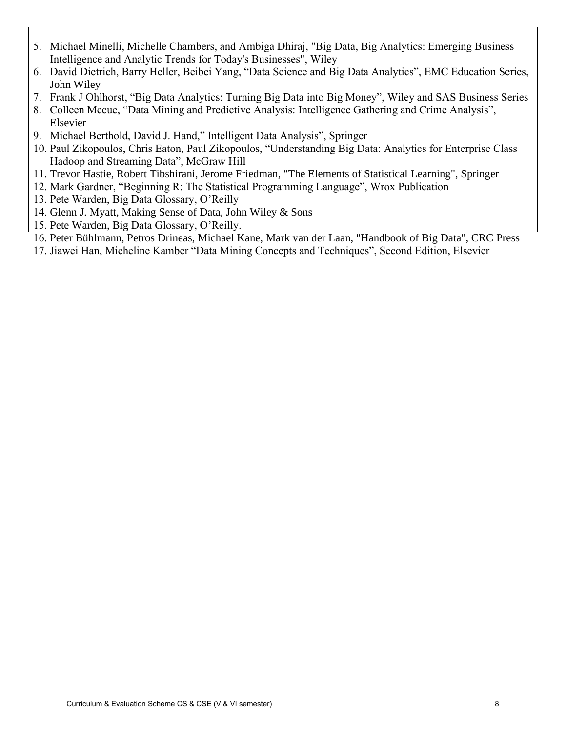- 5. Michael Minelli, Michelle Chambers, and Ambiga Dhiraj, "Big Data, Big Analytics: Emerging Business Intelligence and Analytic Trends for Today's Businesses", Wiley
- 6. David Dietrich, Barry Heller, Beibei Yang, "Data Science and Big Data Analytics", EMC Education Series, John Wiley
- 7. Frank J Ohlhorst, "Big Data Analytics: Turning Big Data into Big Money", Wiley and SAS Business Series
- 8. Colleen Mccue, "Data Mining and Predictive Analysis: Intelligence Gathering and Crime Analysis", Elsevier
- 9. Michael Berthold, David J. Hand," Intelligent Data Analysis", Springer
- 10. Paul Zikopoulos, Chris Eaton, Paul Zikopoulos, "Understanding Big Data: Analytics for Enterprise Class Hadoop and Streaming Data", McGraw Hill
- 11. Trevor Hastie, Robert Tibshirani, Jerome Friedman, "The Elements of Statistical Learning", Springer
- 12. Mark Gardner, "Beginning R: The Statistical Programming Language", Wrox Publication
- 13. Pete Warden, Big Data Glossary, O'Reilly
- 14. Glenn J. Myatt, Making Sense of Data, John Wiley & Sons
- 15. Pete Warden, Big Data Glossary, O'Reilly.
- 16. Peter Bühlmann, Petros Drineas, Michael Kane, Mark van der Laan, "Handbook of Big Data", CRC Press
- 17. Jiawei Han, Micheline Kamber "Data Mining Concepts and Techniques", Second Edition, Elsevier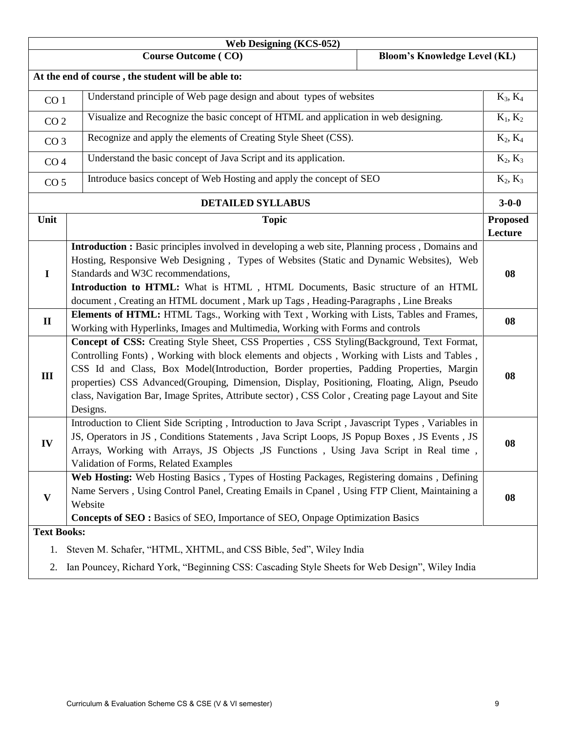| <b>Web Designing (KCS-052)</b> |                                                                                                                                                                                                                                                                                                                                                                                                                                                                                                      |                            |  |  |  |  |
|--------------------------------|------------------------------------------------------------------------------------------------------------------------------------------------------------------------------------------------------------------------------------------------------------------------------------------------------------------------------------------------------------------------------------------------------------------------------------------------------------------------------------------------------|----------------------------|--|--|--|--|
|                                | <b>Course Outcome (CO)</b><br><b>Bloom's Knowledge Level (KL)</b>                                                                                                                                                                                                                                                                                                                                                                                                                                    |                            |  |  |  |  |
|                                | At the end of course, the student will be able to:                                                                                                                                                                                                                                                                                                                                                                                                                                                   |                            |  |  |  |  |
| CO <sub>1</sub>                | Understand principle of Web page design and about types of websites                                                                                                                                                                                                                                                                                                                                                                                                                                  | $K_3, K_4$                 |  |  |  |  |
|                                | Visualize and Recognize the basic concept of HTML and application in web designing.<br>CO <sub>2</sub>                                                                                                                                                                                                                                                                                                                                                                                               |                            |  |  |  |  |
| CO <sub>3</sub>                | Recognize and apply the elements of Creating Style Sheet (CSS).                                                                                                                                                                                                                                                                                                                                                                                                                                      |                            |  |  |  |  |
| CO <sub>4</sub>                | Understand the basic concept of Java Script and its application.                                                                                                                                                                                                                                                                                                                                                                                                                                     | $K_2, K_3$                 |  |  |  |  |
| CO <sub>5</sub>                | Introduce basics concept of Web Hosting and apply the concept of SEO                                                                                                                                                                                                                                                                                                                                                                                                                                 | $K_2, K_3$                 |  |  |  |  |
|                                | <b>DETAILED SYLLABUS</b>                                                                                                                                                                                                                                                                                                                                                                                                                                                                             | $3 - 0 - 0$                |  |  |  |  |
| Unit                           | <b>Topic</b>                                                                                                                                                                                                                                                                                                                                                                                                                                                                                         | <b>Proposed</b><br>Lecture |  |  |  |  |
| $\mathbf I$                    | Introduction : Basic principles involved in developing a web site, Planning process, Domains and<br>Hosting, Responsive Web Designing, Types of Websites (Static and Dynamic Websites), Web<br>Standards and W3C recommendations,<br>Introduction to HTML: What is HTML, HTML Documents, Basic structure of an HTML<br>document, Creating an HTML document, Mark up Tags, Heading-Paragraphs, Line Breaks                                                                                            | 08                         |  |  |  |  |
| $\mathbf{I}$                   | Elements of HTML: HTML Tags., Working with Text, Working with Lists, Tables and Frames,<br>Working with Hyperlinks, Images and Multimedia, Working with Forms and controls                                                                                                                                                                                                                                                                                                                           | 08                         |  |  |  |  |
| III                            | Concept of CSS: Creating Style Sheet, CSS Properties, CSS Styling(Background, Text Format,<br>Controlling Fonts), Working with block elements and objects, Working with Lists and Tables,<br>CSS Id and Class, Box Model(Introduction, Border properties, Padding Properties, Margin<br>properties) CSS Advanced(Grouping, Dimension, Display, Positioning, Floating, Align, Pseudo<br>class, Navigation Bar, Image Sprites, Attribute sector), CSS Color, Creating page Layout and Site<br>Designs. | 08                         |  |  |  |  |
| IV                             | Introduction to Client Side Scripting, Introduction to Java Script, Javascript Types, Variables in<br>JS, Operators in JS, Conditions Statements, Java Script Loops, JS Popup Boxes, JS Events, JS<br>Arrays, Working with Arrays, JS Objects , JS Functions , Using Java Script in Real time<br>Validation of Forms, Related Examples                                                                                                                                                               | 08                         |  |  |  |  |
| V                              | Web Hosting: Web Hosting Basics, Types of Hosting Packages, Registering domains, Defining<br>Name Servers, Using Control Panel, Creating Emails in Cpanel, Using FTP Client, Maintaining a<br>Website<br>Concepts of SEO: Basics of SEO, Importance of SEO, Onpage Optimization Basics                                                                                                                                                                                                               | 08                         |  |  |  |  |
| <b>Text Books:</b>             |                                                                                                                                                                                                                                                                                                                                                                                                                                                                                                      |                            |  |  |  |  |
|                                | 1. Steven M. Schafer, "HTML, XHTML, and CSS Bible, 5ed", Wiley India                                                                                                                                                                                                                                                                                                                                                                                                                                 |                            |  |  |  |  |
| 2.                             | Ian Pouncey, Richard York, "Beginning CSS: Cascading Style Sheets for Web Design", Wiley India                                                                                                                                                                                                                                                                                                                                                                                                       |                            |  |  |  |  |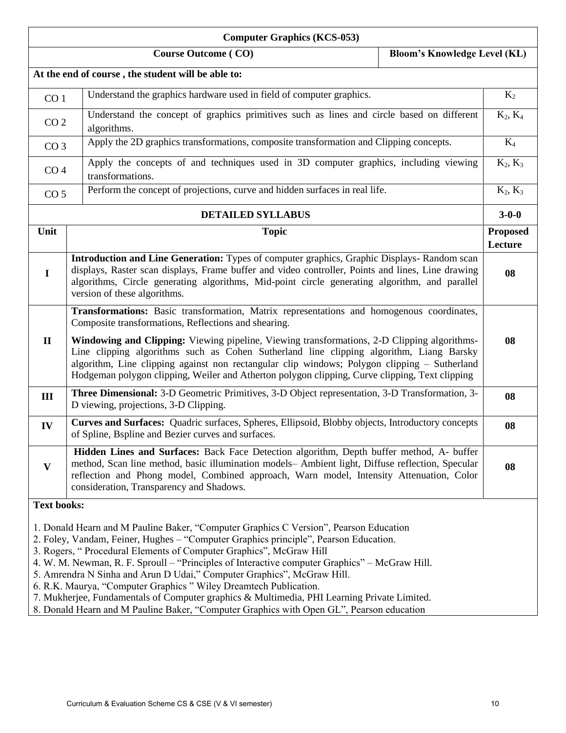| <b>Computer Graphics (KCS-053)</b>                                                                                                                                                                                                                                                                                                                                                                                                                                                                                                                                                                                                                                                            |                                                                                                                                                                                                                                                                                                                                                                                                 |                                     |                            |  |  |
|-----------------------------------------------------------------------------------------------------------------------------------------------------------------------------------------------------------------------------------------------------------------------------------------------------------------------------------------------------------------------------------------------------------------------------------------------------------------------------------------------------------------------------------------------------------------------------------------------------------------------------------------------------------------------------------------------|-------------------------------------------------------------------------------------------------------------------------------------------------------------------------------------------------------------------------------------------------------------------------------------------------------------------------------------------------------------------------------------------------|-------------------------------------|----------------------------|--|--|
|                                                                                                                                                                                                                                                                                                                                                                                                                                                                                                                                                                                                                                                                                               | <b>Course Outcome (CO)</b>                                                                                                                                                                                                                                                                                                                                                                      | <b>Bloom's Knowledge Level (KL)</b> |                            |  |  |
|                                                                                                                                                                                                                                                                                                                                                                                                                                                                                                                                                                                                                                                                                               | At the end of course, the student will be able to:                                                                                                                                                                                                                                                                                                                                              |                                     |                            |  |  |
| CO <sub>1</sub>                                                                                                                                                                                                                                                                                                                                                                                                                                                                                                                                                                                                                                                                               | Understand the graphics hardware used in field of computer graphics.                                                                                                                                                                                                                                                                                                                            |                                     | $K_2$                      |  |  |
| CO <sub>2</sub>                                                                                                                                                                                                                                                                                                                                                                                                                                                                                                                                                                                                                                                                               | Understand the concept of graphics primitives such as lines and circle based on different<br>algorithms.                                                                                                                                                                                                                                                                                        |                                     | $K_2, K_4$                 |  |  |
|                                                                                                                                                                                                                                                                                                                                                                                                                                                                                                                                                                                                                                                                                               | Apply the 2D graphics transformations, composite transformation and Clipping concepts.<br>CO <sub>3</sub>                                                                                                                                                                                                                                                                                       |                                     | $K_4$                      |  |  |
| CO <sub>4</sub>                                                                                                                                                                                                                                                                                                                                                                                                                                                                                                                                                                                                                                                                               | Apply the concepts of and techniques used in 3D computer graphics, including viewing<br>transformations.                                                                                                                                                                                                                                                                                        |                                     | $K_2, K_3$                 |  |  |
| CO <sub>5</sub>                                                                                                                                                                                                                                                                                                                                                                                                                                                                                                                                                                                                                                                                               | Perform the concept of projections, curve and hidden surfaces in real life.                                                                                                                                                                                                                                                                                                                     |                                     | $K_2, K_3$                 |  |  |
|                                                                                                                                                                                                                                                                                                                                                                                                                                                                                                                                                                                                                                                                                               | <b>DETAILED SYLLABUS</b>                                                                                                                                                                                                                                                                                                                                                                        |                                     | $3 - 0 - 0$                |  |  |
| Unit                                                                                                                                                                                                                                                                                                                                                                                                                                                                                                                                                                                                                                                                                          | <b>Topic</b>                                                                                                                                                                                                                                                                                                                                                                                    |                                     | <b>Proposed</b><br>Lecture |  |  |
| $\mathbf I$                                                                                                                                                                                                                                                                                                                                                                                                                                                                                                                                                                                                                                                                                   | Introduction and Line Generation: Types of computer graphics, Graphic Displays-Random scan<br>displays, Raster scan displays, Frame buffer and video controller, Points and lines, Line drawing<br>algorithms, Circle generating algorithms, Mid-point circle generating algorithm, and parallel<br>version of these algorithms.                                                                |                                     |                            |  |  |
|                                                                                                                                                                                                                                                                                                                                                                                                                                                                                                                                                                                                                                                                                               | Transformations: Basic transformation, Matrix representations and homogenous coordinates,<br>Composite transformations, Reflections and shearing.                                                                                                                                                                                                                                               |                                     |                            |  |  |
| $\mathbf{I}$                                                                                                                                                                                                                                                                                                                                                                                                                                                                                                                                                                                                                                                                                  | <b>Windowing and Clipping:</b> Viewing pipeline, Viewing transformations, 2-D Clipping algorithms-<br>Line clipping algorithms such as Cohen Sutherland line clipping algorithm, Liang Barsky<br>algorithm, Line clipping against non rectangular clip windows; Polygon clipping - Sutherland<br>Hodgeman polygon clipping, Weiler and Atherton polygon clipping, Curve clipping, Text clipping |                                     |                            |  |  |
| III                                                                                                                                                                                                                                                                                                                                                                                                                                                                                                                                                                                                                                                                                           | <b>Three Dimensional:</b> 3-D Geometric Primitives, 3-D Object representation, 3-D Transformation, 3-<br>D viewing, projections, 3-D Clipping.                                                                                                                                                                                                                                                  |                                     | 08                         |  |  |
| IV                                                                                                                                                                                                                                                                                                                                                                                                                                                                                                                                                                                                                                                                                            | Curves and Surfaces: Quadric surfaces, Spheres, Ellipsoid, Blobby objects, Introductory concepts<br>of Spline, Bspline and Bezier curves and surfaces.                                                                                                                                                                                                                                          |                                     | 08                         |  |  |
| V                                                                                                                                                                                                                                                                                                                                                                                                                                                                                                                                                                                                                                                                                             | Hidden Lines and Surfaces: Back Face Detection algorithm, Depth buffer method, A- buffer<br>method, Scan line method, basic illumination models- Ambient light, Diffuse reflection, Specular<br>reflection and Phong model, Combined approach, Warn model, Intensity Attenuation, Color<br>consideration, Transparency and Shadows.                                                             |                                     |                            |  |  |
| <b>Text books:</b>                                                                                                                                                                                                                                                                                                                                                                                                                                                                                                                                                                                                                                                                            |                                                                                                                                                                                                                                                                                                                                                                                                 |                                     |                            |  |  |
| 1. Donald Hearn and M Pauline Baker, "Computer Graphics C Version", Pearson Education<br>2. Foley, Vandam, Feiner, Hughes – "Computer Graphics principle", Pearson Education.<br>3. Rogers, "Procedural Elements of Computer Graphics", McGraw Hill<br>4. W. M. Newman, R. F. Sproull – "Principles of Interactive computer Graphics" – McGraw Hill.<br>5. Amrendra N Sinha and Arun D Udai," Computer Graphics", McGraw Hill.<br>6. R.K. Maurya, "Computer Graphics" Wiley Dreamtech Publication.<br>7. Mukherjee, Fundamentals of Computer graphics & Multimedia, PHI Learning Private Limited.<br>8. Donald Hearn and M Pauline Baker, "Computer Graphics with Open GL", Pearson education |                                                                                                                                                                                                                                                                                                                                                                                                 |                                     |                            |  |  |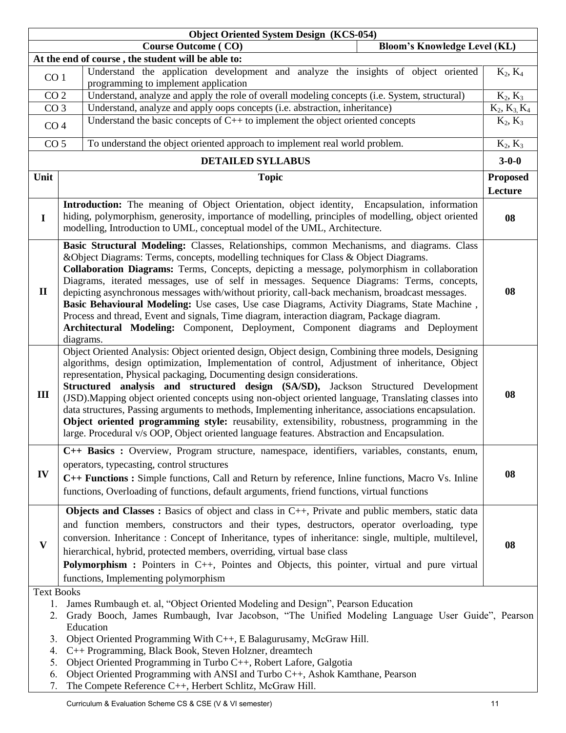|                                                 | <b>Object Oriented System Design (KCS-054)</b>                                                                                                                                                                                                                                                                                                                                                                                                                                                                                                                                                                                                                                                                                                                                      |                 |  |  |  |  |
|-------------------------------------------------|-------------------------------------------------------------------------------------------------------------------------------------------------------------------------------------------------------------------------------------------------------------------------------------------------------------------------------------------------------------------------------------------------------------------------------------------------------------------------------------------------------------------------------------------------------------------------------------------------------------------------------------------------------------------------------------------------------------------------------------------------------------------------------------|-----------------|--|--|--|--|
|                                                 | <b>Course Outcome (CO)</b><br><b>Bloom's Knowledge Level (KL)</b>                                                                                                                                                                                                                                                                                                                                                                                                                                                                                                                                                                                                                                                                                                                   |                 |  |  |  |  |
|                                                 | At the end of course, the student will be able to:                                                                                                                                                                                                                                                                                                                                                                                                                                                                                                                                                                                                                                                                                                                                  |                 |  |  |  |  |
| CO <sub>1</sub>                                 | Understand the application development and analyze the insights of object oriented<br>programming to implement application                                                                                                                                                                                                                                                                                                                                                                                                                                                                                                                                                                                                                                                          | $K_2, K_4$      |  |  |  |  |
| CO <sub>2</sub>                                 | Understand, analyze and apply the role of overall modeling concepts (i.e. System, structural)                                                                                                                                                                                                                                                                                                                                                                                                                                                                                                                                                                                                                                                                                       | $K_2, K_3$      |  |  |  |  |
| CO <sub>3</sub>                                 | Understand, analyze and apply oops concepts (i.e. abstraction, inheritance)                                                                                                                                                                                                                                                                                                                                                                                                                                                                                                                                                                                                                                                                                                         | $K_2, K_3, K_4$ |  |  |  |  |
| CO <sub>4</sub>                                 | Understand the basic concepts of $C++$ to implement the object oriented concepts                                                                                                                                                                                                                                                                                                                                                                                                                                                                                                                                                                                                                                                                                                    | $K_2, K_3$      |  |  |  |  |
|                                                 | CO <sub>5</sub><br>To understand the object oriented approach to implement real world problem.                                                                                                                                                                                                                                                                                                                                                                                                                                                                                                                                                                                                                                                                                      |                 |  |  |  |  |
| <b>DETAILED SYLLABUS</b>                        |                                                                                                                                                                                                                                                                                                                                                                                                                                                                                                                                                                                                                                                                                                                                                                                     |                 |  |  |  |  |
| Unit                                            | <b>Topic</b>                                                                                                                                                                                                                                                                                                                                                                                                                                                                                                                                                                                                                                                                                                                                                                        |                 |  |  |  |  |
|                                                 |                                                                                                                                                                                                                                                                                                                                                                                                                                                                                                                                                                                                                                                                                                                                                                                     |                 |  |  |  |  |
|                                                 |                                                                                                                                                                                                                                                                                                                                                                                                                                                                                                                                                                                                                                                                                                                                                                                     | Lecture         |  |  |  |  |
| $\mathbf I$                                     | Introduction: The meaning of Object Orientation, object identity, Encapsulation, information<br>hiding, polymorphism, generosity, importance of modelling, principles of modelling, object oriented<br>modelling, Introduction to UML, conceptual model of the UML, Architecture.                                                                                                                                                                                                                                                                                                                                                                                                                                                                                                   | 08              |  |  |  |  |
| $\mathbf{I}$                                    | Basic Structural Modeling: Classes, Relationships, common Mechanisms, and diagrams. Class<br>&Object Diagrams: Terms, concepts, modelling techniques for Class & Object Diagrams.<br>Collaboration Diagrams: Terms, Concepts, depicting a message, polymorphism in collaboration<br>Diagrams, iterated messages, use of self in messages. Sequence Diagrams: Terms, concepts,<br>depicting asynchronous messages with/without priority, call-back mechanism, broadcast messages.<br>Basic Behavioural Modeling: Use cases, Use case Diagrams, Activity Diagrams, State Machine,<br>Process and thread, Event and signals, Time diagram, interaction diagram, Package diagram.<br>Architectural Modeling: Component, Deployment, Component diagrams and Deployment<br>diagrams.      | 08              |  |  |  |  |
| Ш                                               | Object Oriented Analysis: Object oriented design, Object design, Combining three models, Designing<br>algorithms, design optimization, Implementation of control, Adjustment of inheritance, Object<br>representation, Physical packaging, Documenting design considerations.<br>Structured analysis and structured design (SA/SD), Jackson Structured Development<br>(JSD). Mapping object oriented concepts using non-object oriented language, Translating classes into<br>data structures, Passing arguments to methods, Implementing inheritance, associations encapsulation.<br>Object oriented programming style: reusability, extensibility, robustness, programming in the<br>large. Procedural v/s OOP, Object oriented language features. Abstraction and Encapsulation. | 08              |  |  |  |  |
| IV                                              | C++ Basics : Overview, Program structure, namespace, identifiers, variables, constants, enum,<br>operators, typecasting, control structures<br>C++ Functions : Simple functions, Call and Return by reference, Inline functions, Macro Vs. Inline<br>functions, Overloading of functions, default arguments, friend functions, virtual functions                                                                                                                                                                                                                                                                                                                                                                                                                                    | 08              |  |  |  |  |
| V                                               | Objects and Classes : Basics of object and class in C++, Private and public members, static data<br>and function members, constructors and their types, destructors, operator overloading, type<br>conversion. Inheritance: Concept of Inheritance, types of inheritance: single, multiple, multilevel,<br>hierarchical, hybrid, protected members, overriding, virtual base class<br><b>Polymorphism :</b> Pointers in C++, Pointes and Objects, this pointer, virtual and pure virtual<br>functions, Implementing polymorphism                                                                                                                                                                                                                                                    | 08              |  |  |  |  |
| <b>Text Books</b><br>1.<br>3.<br>4.<br>5.<br>6. | James Rumbaugh et. al, "Object Oriented Modeling and Design", Pearson Education<br>Grady Booch, James Rumbaugh, Ivar Jacobson, "The Unified Modeling Language User Guide", Pearson<br>Education<br>Object Oriented Programming With C++, E Balagurusamy, McGraw Hill.<br>C++ Programming, Black Book, Steven Holzner, dreamtech<br>Object Oriented Programming in Turbo C++, Robert Lafore, Galgotia<br>Object Oriented Programming with ANSI and Turbo C++, Ashok Kamthane, Pearson                                                                                                                                                                                                                                                                                                |                 |  |  |  |  |

7. The Compete Reference C++, Herbert Schlitz, McGraw Hill.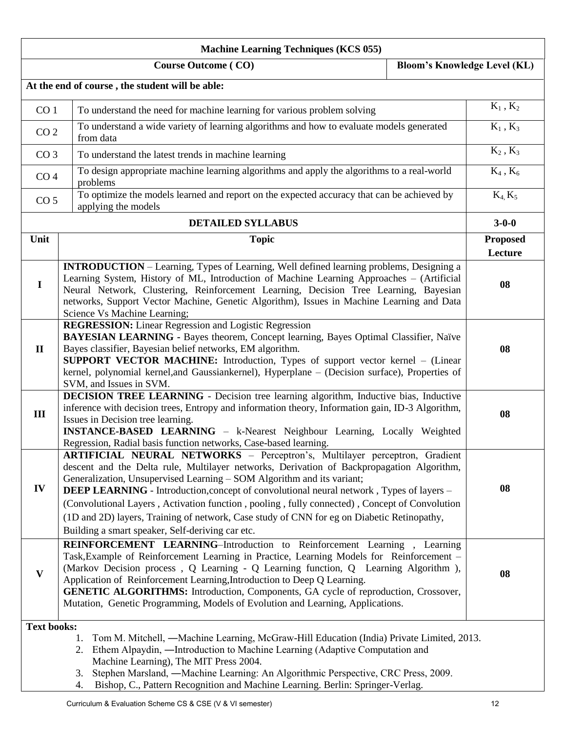|                    | <b>Machine Learning Techniques (KCS 055)</b>                                                                                                                                                                                                                                                                                                                                                                                                                                                                                                                                                            |                                 |
|--------------------|---------------------------------------------------------------------------------------------------------------------------------------------------------------------------------------------------------------------------------------------------------------------------------------------------------------------------------------------------------------------------------------------------------------------------------------------------------------------------------------------------------------------------------------------------------------------------------------------------------|---------------------------------|
|                    | <b>Course Outcome (CO)</b><br><b>Bloom's Knowledge Level (KL)</b>                                                                                                                                                                                                                                                                                                                                                                                                                                                                                                                                       |                                 |
|                    | At the end of course, the student will be able:                                                                                                                                                                                                                                                                                                                                                                                                                                                                                                                                                         |                                 |
| CO <sub>1</sub>    | To understand the need for machine learning for various problem solving                                                                                                                                                                                                                                                                                                                                                                                                                                                                                                                                 | $\mathrm{K}_1$ , $\mathrm{K}_2$ |
| CO <sub>2</sub>    | To understand a wide variety of learning algorithms and how to evaluate models generated<br>from data                                                                                                                                                                                                                                                                                                                                                                                                                                                                                                   | $K_1$ , $K_3$                   |
| CO <sub>3</sub>    | To understand the latest trends in machine learning                                                                                                                                                                                                                                                                                                                                                                                                                                                                                                                                                     | $K_2$ , $K_3$                   |
| CO <sub>4</sub>    | To design appropriate machine learning algorithms and apply the algorithms to a real-world<br>problems                                                                                                                                                                                                                                                                                                                                                                                                                                                                                                  | $K_4$ , $K_6$                   |
| CO <sub>5</sub>    | To optimize the models learned and report on the expected accuracy that can be achieved by<br>applying the models                                                                                                                                                                                                                                                                                                                                                                                                                                                                                       | $K_4, K_5$                      |
|                    | <b>DETAILED SYLLABUS</b>                                                                                                                                                                                                                                                                                                                                                                                                                                                                                                                                                                                | $3 - 0 - 0$                     |
| Unit               | <b>Topic</b>                                                                                                                                                                                                                                                                                                                                                                                                                                                                                                                                                                                            | <b>Proposed</b><br>Lecture      |
| $\bf{I}$           | <b>INTRODUCTION</b> – Learning, Types of Learning, Well defined learning problems, Designing a<br>Learning System, History of ML, Introduction of Machine Learning Approaches – (Artificial<br>Neural Network, Clustering, Reinforcement Learning, Decision Tree Learning, Bayesian<br>networks, Support Vector Machine, Genetic Algorithm), Issues in Machine Learning and Data<br>Science Vs Machine Learning;                                                                                                                                                                                        | 08                              |
| $\mathbf{I}$       | <b>REGRESSION:</b> Linear Regression and Logistic Regression<br>BAYESIAN LEARNING - Bayes theorem, Concept learning, Bayes Optimal Classifier, Naïve<br>Bayes classifier, Bayesian belief networks, EM algorithm.<br><b>SUPPORT VECTOR MACHINE:</b> Introduction, Types of support vector kernel – (Linear<br>kernel, polynomial kernel, and Gaussiankernel), Hyperplane - (Decision surface), Properties of                                                                                                                                                                                            | 08                              |
| III                | SVM, and Issues in SVM.<br>DECISION TREE LEARNING - Decision tree learning algorithm, Inductive bias, Inductive<br>inference with decision trees, Entropy and information theory, Information gain, ID-3 Algorithm,<br>Issues in Decision tree learning.<br><b>INSTANCE-BASED LEARNING</b> – k-Nearest Neighbour Learning, Locally Weighted<br>Regression, Radial basis function networks, Case-based learning.                                                                                                                                                                                         | 08                              |
| IV                 | ARTIFICIAL NEURAL NETWORKS - Perceptron's, Multilayer perceptron, Gradient<br>descent and the Delta rule, Multilayer networks, Derivation of Backpropagation Algorithm,<br>Generalization, Unsupervised Learning - SOM Algorithm and its variant;<br><b>DEEP LEARNING</b> - Introduction, concept of convolutional neural network, Types of layers -<br>(Convolutional Layers, Activation function, pooling, fully connected), Concept of Convolution<br>(1D and 2D) layers, Training of network, Case study of CNN for eg on Diabetic Retinopathy,<br>Building a smart speaker, Self-deriving car etc. | 08                              |
| V                  | REINFORCEMENT LEARNING-Introduction to Reinforcement Learning, Learning<br>Task, Example of Reinforcement Learning in Practice, Learning Models for Reinforcement –<br>(Markov Decision process, Q Learning - Q Learning function, Q Learning Algorithm),<br>Application of Reinforcement Learning, Introduction to Deep Q Learning.<br><b>GENETIC ALGORITHMS:</b> Introduction, Components, GA cycle of reproduction, Crossover,<br>Mutation, Genetic Programming, Models of Evolution and Learning, Applications.                                                                                     | 08                              |
| <b>Text books:</b> | Tom M. Mitchell, —Machine Learning, McGraw-Hill Education (India) Private Limited, 2013.<br>1.<br>Ethem Alpaydin, —Introduction to Machine Learning (Adaptive Computation and<br>2.<br>Machine Learning), The MIT Press 2004.<br>Stephen Marsland, -Machine Learning: An Algorithmic Perspective, CRC Press, 2009.<br>3.                                                                                                                                                                                                                                                                                |                                 |

4. Bishop, C., Pattern Recognition and Machine Learning. Berlin: Springer-Verlag.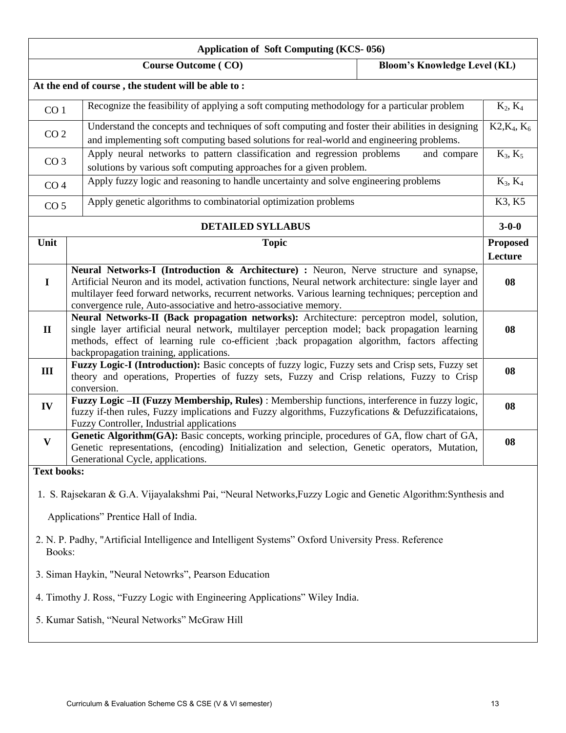| <b>Application of Soft Computing (KCS-056)</b>                                                                                                                    |                                                                                                                                                                                                                                                                                                                                                                                    |                                     |                            |  |  |  |
|-------------------------------------------------------------------------------------------------------------------------------------------------------------------|------------------------------------------------------------------------------------------------------------------------------------------------------------------------------------------------------------------------------------------------------------------------------------------------------------------------------------------------------------------------------------|-------------------------------------|----------------------------|--|--|--|
|                                                                                                                                                                   | <b>Course Outcome (CO)</b>                                                                                                                                                                                                                                                                                                                                                         | <b>Bloom's Knowledge Level (KL)</b> |                            |  |  |  |
|                                                                                                                                                                   | At the end of course, the student will be able to:                                                                                                                                                                                                                                                                                                                                 |                                     |                            |  |  |  |
| CO <sub>1</sub>                                                                                                                                                   | Recognize the feasibility of applying a soft computing methodology for a particular problem                                                                                                                                                                                                                                                                                        |                                     | $K_2, K_4$                 |  |  |  |
|                                                                                                                                                                   | Understand the concepts and techniques of soft computing and foster their abilities in designing<br>CO <sub>2</sub><br>and implementing soft computing based solutions for real-world and engineering problems.                                                                                                                                                                    |                                     |                            |  |  |  |
| Apply neural networks to pattern classification and regression problems<br>CO <sub>3</sub><br>solutions by various soft computing approaches for a given problem. |                                                                                                                                                                                                                                                                                                                                                                                    | and compare                         | $K_3, K_5$                 |  |  |  |
| CO <sub>4</sub>                                                                                                                                                   | Apply fuzzy logic and reasoning to handle uncertainty and solve engineering problems                                                                                                                                                                                                                                                                                               |                                     | $K_3, K_4$                 |  |  |  |
| CO <sub>5</sub>                                                                                                                                                   | Apply genetic algorithms to combinatorial optimization problems                                                                                                                                                                                                                                                                                                                    |                                     | K3, K5                     |  |  |  |
|                                                                                                                                                                   | <b>DETAILED SYLLABUS</b>                                                                                                                                                                                                                                                                                                                                                           |                                     | $3 - 0 - 0$                |  |  |  |
| Unit                                                                                                                                                              | <b>Topic</b>                                                                                                                                                                                                                                                                                                                                                                       |                                     | <b>Proposed</b><br>Lecture |  |  |  |
| $\mathbf I$                                                                                                                                                       | <b>Neural Networks-I (Introduction &amp; Architecture) :</b> Neuron, Nerve structure and synapse,<br>Artificial Neuron and its model, activation functions, Neural network architecture: single layer and<br>multilayer feed forward networks, recurrent networks. Various learning techniques; perception and<br>convergence rule, Auto-associative and hetro-associative memory. |                                     |                            |  |  |  |
| $\mathbf{I}$                                                                                                                                                      | Neural Networks-II (Back propagation networks): Architecture: perceptron model, solution,<br>single layer artificial neural network, multilayer perception model; back propagation learning<br>methods, effect of learning rule co-efficient ;back propagation algorithm, factors affecting<br>backpropagation training, applications.                                             |                                     |                            |  |  |  |
| III                                                                                                                                                               | Fuzzy Logic-I (Introduction): Basic concepts of fuzzy logic, Fuzzy sets and Crisp sets, Fuzzy set<br>theory and operations, Properties of fuzzy sets, Fuzzy and Crisp relations, Fuzzy to Crisp<br>conversion.                                                                                                                                                                     |                                     |                            |  |  |  |
| IV                                                                                                                                                                | Fuzzy Logic - II (Fuzzy Membership, Rules) : Membership functions, interference in fuzzy logic,<br>fuzzy if-then rules, Fuzzy implications and Fuzzy algorithms, Fuzzyfications & Defuzzificataions,<br>Fuzzy Controller, Industrial applications                                                                                                                                  |                                     | 08                         |  |  |  |
| $\mathbf{V}$                                                                                                                                                      | Genetic Algorithm(GA): Basic concepts, working principle, procedures of GA, flow chart of GA,<br>Genetic representations, (encoding) Initialization and selection, Genetic operators, Mutation,<br>Generational Cycle, applications.                                                                                                                                               |                                     | 08                         |  |  |  |
| <b>Text books:</b>                                                                                                                                                |                                                                                                                                                                                                                                                                                                                                                                                    |                                     |                            |  |  |  |
|                                                                                                                                                                   | 1. S. Rajsekaran & G.A. Vijayalakshmi Pai, "Neural Networks, Fuzzy Logic and Genetic Algorithm: Synthesis and                                                                                                                                                                                                                                                                      |                                     |                            |  |  |  |
|                                                                                                                                                                   | Applications" Prentice Hall of India.<br>2. N. P. Padhy, "Artificial Intelligence and Intelligent Systems" Oxford University Press. Reference<br>Books:                                                                                                                                                                                                                            |                                     |                            |  |  |  |
| 3. Siman Haykin, "Neural Netowrks", Pearson Education                                                                                                             |                                                                                                                                                                                                                                                                                                                                                                                    |                                     |                            |  |  |  |
| 4. Timothy J. Ross, "Fuzzy Logic with Engineering Applications" Wiley India.                                                                                      |                                                                                                                                                                                                                                                                                                                                                                                    |                                     |                            |  |  |  |
|                                                                                                                                                                   | 5. Kumar Satish, "Neural Networks" McGraw Hill                                                                                                                                                                                                                                                                                                                                     |                                     |                            |  |  |  |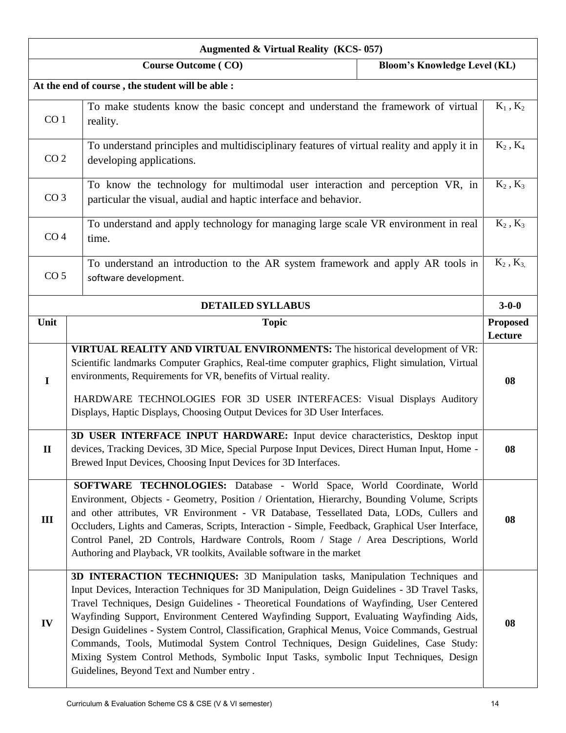|                                                                                                                            | <b>Augmented &amp; Virtual Reality (KCS-057)</b>                                                                                                                                                                                                                                                                                                                                                                                                                                                                                                                                                                                                                                                           |                                     |                            |  |  |
|----------------------------------------------------------------------------------------------------------------------------|------------------------------------------------------------------------------------------------------------------------------------------------------------------------------------------------------------------------------------------------------------------------------------------------------------------------------------------------------------------------------------------------------------------------------------------------------------------------------------------------------------------------------------------------------------------------------------------------------------------------------------------------------------------------------------------------------------|-------------------------------------|----------------------------|--|--|
|                                                                                                                            | <b>Course Outcome (CO)</b>                                                                                                                                                                                                                                                                                                                                                                                                                                                                                                                                                                                                                                                                                 | <b>Bloom's Knowledge Level (KL)</b> |                            |  |  |
| At the end of course, the student will be able :                                                                           |                                                                                                                                                                                                                                                                                                                                                                                                                                                                                                                                                                                                                                                                                                            |                                     |                            |  |  |
| CO <sub>1</sub>                                                                                                            | To make students know the basic concept and understand the framework of virtual<br>reality.                                                                                                                                                                                                                                                                                                                                                                                                                                                                                                                                                                                                                |                                     | $K_1$ , $K_2$              |  |  |
| CO <sub>2</sub>                                                                                                            | To understand principles and multidisciplinary features of virtual reality and apply it in<br>developing applications.                                                                                                                                                                                                                                                                                                                                                                                                                                                                                                                                                                                     |                                     | $K_2$ , $K_4$              |  |  |
| CO <sub>3</sub>                                                                                                            | To know the technology for multimodal user interaction and perception VR, in<br>particular the visual, audial and haptic interface and behavior.                                                                                                                                                                                                                                                                                                                                                                                                                                                                                                                                                           |                                     | $K_2$ , $K_3$              |  |  |
| CO <sub>4</sub>                                                                                                            | To understand and apply technology for managing large scale VR environment in real<br>time.                                                                                                                                                                                                                                                                                                                                                                                                                                                                                                                                                                                                                |                                     | $K_2$ , $K_3$              |  |  |
| To understand an introduction to the AR system framework and apply AR tools in<br>CO <sub>5</sub><br>software development. |                                                                                                                                                                                                                                                                                                                                                                                                                                                                                                                                                                                                                                                                                                            |                                     | $K_2, K_3$                 |  |  |
|                                                                                                                            | <b>DETAILED SYLLABUS</b>                                                                                                                                                                                                                                                                                                                                                                                                                                                                                                                                                                                                                                                                                   |                                     | $3 - 0 - 0$                |  |  |
| Unit                                                                                                                       | <b>Topic</b>                                                                                                                                                                                                                                                                                                                                                                                                                                                                                                                                                                                                                                                                                               |                                     | <b>Proposed</b><br>Lecture |  |  |
| $\bf{I}$                                                                                                                   | VIRTUAL REALITY AND VIRTUAL ENVIRONMENTS: The historical development of VR:<br>Scientific landmarks Computer Graphics, Real-time computer graphics, Flight simulation, Virtual<br>environments, Requirements for VR, benefits of Virtual reality.<br>HARDWARE TECHNOLOGIES FOR 3D USER INTERFACES: Visual Displays Auditory<br>Displays, Haptic Displays, Choosing Output Devices for 3D User Interfaces.                                                                                                                                                                                                                                                                                                  |                                     | 08                         |  |  |
| $\mathbf{I}$                                                                                                               | 3D USER INTERFACE INPUT HARDWARE: Input device characteristics, Desktop input<br>devices, Tracking Devices, 3D Mice, Special Purpose Input Devices, Direct Human Input, Home -<br>Brewed Input Devices, Choosing Input Devices for 3D Interfaces.                                                                                                                                                                                                                                                                                                                                                                                                                                                          |                                     |                            |  |  |
| III                                                                                                                        | SOFTWARE TECHNOLOGIES: Database - World Space, World Coordinate, World<br>Environment, Objects - Geometry, Position / Orientation, Hierarchy, Bounding Volume, Scripts<br>and other attributes, VR Environment - VR Database, Tessellated Data, LODs, Cullers and<br>Occluders, Lights and Cameras, Scripts, Interaction - Simple, Feedback, Graphical User Interface,<br>Control Panel, 2D Controls, Hardware Controls, Room / Stage / Area Descriptions, World<br>Authoring and Playback, VR toolkits, Available software in the market                                                                                                                                                                  |                                     | 08                         |  |  |
| IV                                                                                                                         | 3D INTERACTION TECHNIQUES: 3D Manipulation tasks, Manipulation Techniques and<br>Input Devices, Interaction Techniques for 3D Manipulation, Deign Guidelines - 3D Travel Tasks,<br>Travel Techniques, Design Guidelines - Theoretical Foundations of Wayfinding, User Centered<br>Wayfinding Support, Environment Centered Wayfinding Support, Evaluating Wayfinding Aids,<br>Design Guidelines - System Control, Classification, Graphical Menus, Voice Commands, Gestrual<br>Commands, Tools, Mutimodal System Control Techniques, Design Guidelines, Case Study:<br>Mixing System Control Methods, Symbolic Input Tasks, symbolic Input Techniques, Design<br>Guidelines, Beyond Text and Number entry. |                                     | 08                         |  |  |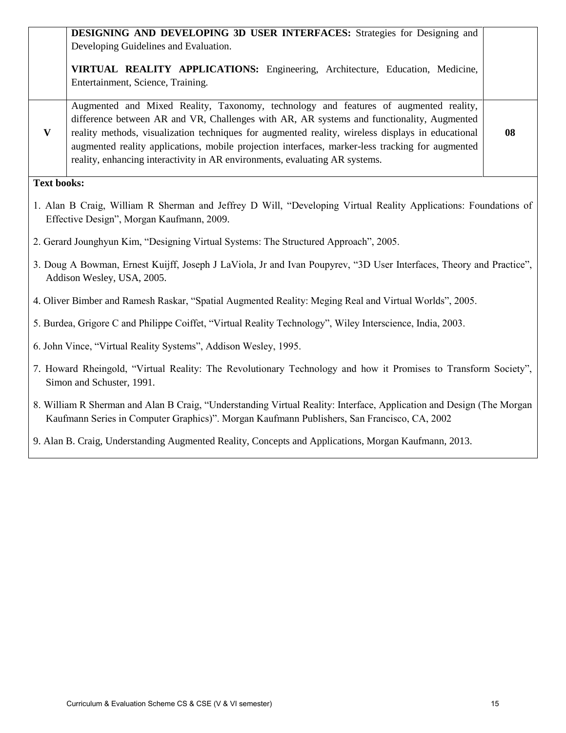|                                                                                                                                                              | DESIGNING AND DEVELOPING 3D USER INTERFACES: Strategies for Designing and<br>Developing Guidelines and Evaluation.                                                                                                                                                                                                                                                                                                                                                        |    |  |
|--------------------------------------------------------------------------------------------------------------------------------------------------------------|---------------------------------------------------------------------------------------------------------------------------------------------------------------------------------------------------------------------------------------------------------------------------------------------------------------------------------------------------------------------------------------------------------------------------------------------------------------------------|----|--|
|                                                                                                                                                              | VIRTUAL REALITY APPLICATIONS: Engineering, Architecture, Education, Medicine,<br>Entertainment, Science, Training.                                                                                                                                                                                                                                                                                                                                                        |    |  |
| $\mathbf{V}$                                                                                                                                                 | Augmented and Mixed Reality, Taxonomy, technology and features of augmented reality,<br>difference between AR and VR, Challenges with AR, AR systems and functionality, Augmented<br>reality methods, visualization techniques for augmented reality, wireless displays in educational<br>augmented reality applications, mobile projection interfaces, marker-less tracking for augmented<br>reality, enhancing interactivity in AR environments, evaluating AR systems. | 08 |  |
| <b>Text books:</b>                                                                                                                                           |                                                                                                                                                                                                                                                                                                                                                                                                                                                                           |    |  |
| 1. Alan B Craig, William R Sherman and Jeffrey D Will, "Developing Virtual Reality Applications: Foundations of<br>Effective Design", Morgan Kaufmann, 2009. |                                                                                                                                                                                                                                                                                                                                                                                                                                                                           |    |  |
| 2. Gerard Jounghyun Kim, "Designing Virtual Systems: The Structured Approach", 2005.                                                                         |                                                                                                                                                                                                                                                                                                                                                                                                                                                                           |    |  |
| 3. Doug A Bowman, Ernest Kuijff, Joseph J LaViola, Jr and Ivan Poupyrev, "3D User Interfaces, Theory and Practice",<br>Addison Wesley, USA, 2005.            |                                                                                                                                                                                                                                                                                                                                                                                                                                                                           |    |  |
| 4. Oliver Bimber and Ramesh Raskar, "Spatial Augmented Reality: Meging Real and Virtual Worlds", 2005.                                                       |                                                                                                                                                                                                                                                                                                                                                                                                                                                                           |    |  |
|                                                                                                                                                              | 5. Burdea, Grigore C and Philippe Coiffet, "Virtual Reality Technology", Wiley Interscience, India, 2003.                                                                                                                                                                                                                                                                                                                                                                 |    |  |
|                                                                                                                                                              | 6. John Vince, "Virtual Reality Systems", Addison Wesley, 1995.                                                                                                                                                                                                                                                                                                                                                                                                           |    |  |
|                                                                                                                                                              | 7. Howard Rheingold, "Virtual Reality: The Revolutionary Technology and how it Promises to Transform Society",<br>Simon and Schuster, 1991.                                                                                                                                                                                                                                                                                                                               |    |  |
|                                                                                                                                                              | 8. William R Sherman and Alan B Craig, "Understanding Virtual Reality: Interface, Application and Design (The Morgan<br>Kaufmann Series in Computer Graphics)". Morgan Kaufmann Publishers, San Francisco, CA, 2002                                                                                                                                                                                                                                                       |    |  |
|                                                                                                                                                              | 9. Alan B. Craig, Understanding Augmented Reality, Concepts and Applications, Morgan Kaufmann, 2013.                                                                                                                                                                                                                                                                                                                                                                      |    |  |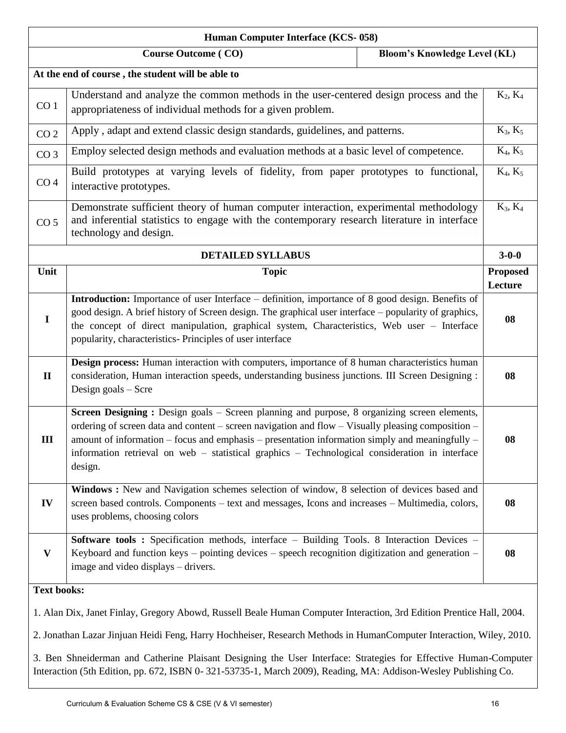|                    | Human Computer Interface (KCS-058)                                                                                                                                                                                                                                                                                                                                                                                 |                            |
|--------------------|--------------------------------------------------------------------------------------------------------------------------------------------------------------------------------------------------------------------------------------------------------------------------------------------------------------------------------------------------------------------------------------------------------------------|----------------------------|
|                    | <b>Bloom's Knowledge Level (KL)</b><br><b>Course Outcome (CO)</b>                                                                                                                                                                                                                                                                                                                                                  |                            |
|                    | At the end of course, the student will be able to                                                                                                                                                                                                                                                                                                                                                                  |                            |
| CO <sub>1</sub>    | Understand and analyze the common methods in the user-centered design process and the<br>appropriateness of individual methods for a given problem.                                                                                                                                                                                                                                                                | $K_2, K_4$                 |
| CO <sub>2</sub>    | Apply, adapt and extend classic design standards, guidelines, and patterns.                                                                                                                                                                                                                                                                                                                                        | $K_3, K_5$                 |
| CO <sub>3</sub>    | Employ selected design methods and evaluation methods at a basic level of competence.                                                                                                                                                                                                                                                                                                                              | $K_4, K_5$                 |
| CO <sub>4</sub>    | Build prototypes at varying levels of fidelity, from paper prototypes to functional,<br>interactive prototypes.                                                                                                                                                                                                                                                                                                    | $K_4, K_5$                 |
| CO <sub>5</sub>    | Demonstrate sufficient theory of human computer interaction, experimental methodology<br>and inferential statistics to engage with the contemporary research literature in interface<br>technology and design.                                                                                                                                                                                                     | $K_3, K_4$                 |
|                    | <b>DETAILED SYLLABUS</b>                                                                                                                                                                                                                                                                                                                                                                                           | $3 - 0 - 0$                |
| Unit               | <b>Topic</b>                                                                                                                                                                                                                                                                                                                                                                                                       | <b>Proposed</b><br>Lecture |
| $\mathbf I$        | <b>Introduction:</b> Importance of user Interface – definition, importance of 8 good design. Benefits of<br>good design. A brief history of Screen design. The graphical user interface – popularity of graphics,<br>the concept of direct manipulation, graphical system, Characteristics, Web user - Interface<br>popularity, characteristics- Principles of user interface                                      | 08                         |
| $\mathbf{I}$       | Design process: Human interaction with computers, importance of 8 human characteristics human<br>consideration, Human interaction speeds, understanding business junctions. III Screen Designing :<br>Design goals $-$ Scre                                                                                                                                                                                        | 08                         |
| III                | Screen Designing : Design goals - Screen planning and purpose, 8 organizing screen elements,<br>ordering of screen data and content – screen navigation and flow – Visually pleasing composition –<br>amount of information – focus and emphasis – presentation information simply and meaningfully –<br>information retrieval on web – statistical graphics – Technological consideration in interface<br>design. | 08                         |
| IV                 | Windows: New and Navigation schemes selection of window, 8 selection of devices based and<br>screen based controls. Components – text and messages, Icons and increases – Multimedia, colors,<br>uses problems, choosing colors                                                                                                                                                                                    | 08                         |
| $\mathbf{V}$       | Software tools: Specification methods, interface - Building Tools. 8 Interaction Devices -<br>Keyboard and function keys - pointing devices - speech recognition digitization and generation -<br>image and video displays - drivers.                                                                                                                                                                              | 08                         |
| <b>Text books:</b> |                                                                                                                                                                                                                                                                                                                                                                                                                    |                            |
|                    | 1. Alan Dix, Janet Finlay, Gregory Abowd, Russell Beale Human Computer Interaction, 3rd Edition Prentice Hall, 2004.                                                                                                                                                                                                                                                                                               |                            |
|                    | 2. Jonathan Lazar Jinjuan Heidi Feng, Harry Hochheiser, Research Methods in HumanComputer Interaction, Wiley, 2010.                                                                                                                                                                                                                                                                                                |                            |
|                    | 3. Ben Shneiderman and Catherine Plaisant Designing the User Interface: Strategies for Effective Human-Computer<br>Interaction (5th Edition, pp. 672, ISBN 0-321-53735-1, March 2009), Reading, MA: Addison-Wesley Publishing Co.                                                                                                                                                                                  |                            |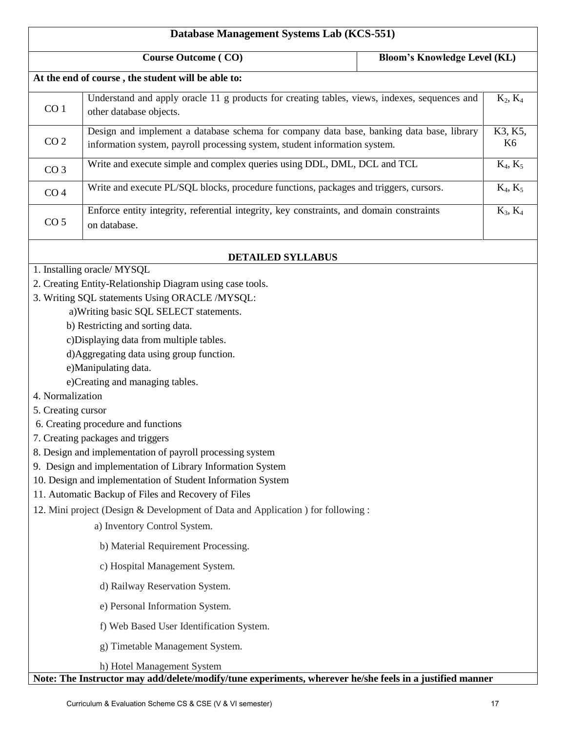| Database Management Systems Lab (KCS-551) |                                                                                                                                                                                                                                                                                                                                                                                                                                                                                                                                                                                                                                                                                                                                                                                                                               |                                     |               |
|-------------------------------------------|-------------------------------------------------------------------------------------------------------------------------------------------------------------------------------------------------------------------------------------------------------------------------------------------------------------------------------------------------------------------------------------------------------------------------------------------------------------------------------------------------------------------------------------------------------------------------------------------------------------------------------------------------------------------------------------------------------------------------------------------------------------------------------------------------------------------------------|-------------------------------------|---------------|
|                                           | <b>Course Outcome (CO)</b>                                                                                                                                                                                                                                                                                                                                                                                                                                                                                                                                                                                                                                                                                                                                                                                                    | <b>Bloom's Knowledge Level (KL)</b> |               |
|                                           | At the end of course, the student will be able to:                                                                                                                                                                                                                                                                                                                                                                                                                                                                                                                                                                                                                                                                                                                                                                            |                                     |               |
| CO <sub>1</sub>                           | Understand and apply oracle 11 g products for creating tables, views, indexes, sequences and<br>other database objects.                                                                                                                                                                                                                                                                                                                                                                                                                                                                                                                                                                                                                                                                                                       |                                     | $K_2, K_4$    |
| CO <sub>2</sub>                           | Design and implement a database schema for company data base, banking data base, library<br>information system, payroll processing system, student information system.                                                                                                                                                                                                                                                                                                                                                                                                                                                                                                                                                                                                                                                        |                                     | K3, K5,<br>K6 |
| CO <sub>3</sub>                           | Write and execute simple and complex queries using DDL, DML, DCL and TCL                                                                                                                                                                                                                                                                                                                                                                                                                                                                                                                                                                                                                                                                                                                                                      |                                     | $K_4, K_5$    |
| CO <sub>4</sub>                           | Write and execute PL/SQL blocks, procedure functions, packages and triggers, cursors.                                                                                                                                                                                                                                                                                                                                                                                                                                                                                                                                                                                                                                                                                                                                         |                                     | $K_4, K_5$    |
| CO <sub>5</sub>                           | Enforce entity integrity, referential integrity, key constraints, and domain constraints<br>on database.                                                                                                                                                                                                                                                                                                                                                                                                                                                                                                                                                                                                                                                                                                                      |                                     | $K_3, K_4$    |
|                                           | <b>DETAILED SYLLABUS</b>                                                                                                                                                                                                                                                                                                                                                                                                                                                                                                                                                                                                                                                                                                                                                                                                      |                                     |               |
| 4. Normalization<br>5. Creating cursor    | 1. Installing oracle/ MYSQL<br>2. Creating Entity-Relationship Diagram using case tools.<br>3. Writing SQL statements Using ORACLE /MYSQL:<br>a) Writing basic SQL SELECT statements.<br>b) Restricting and sorting data.<br>c)Displaying data from multiple tables.<br>d) Aggregating data using group function.<br>e)Manipulating data.<br>e)Creating and managing tables.<br>6. Creating procedure and functions<br>7. Creating packages and triggers<br>8. Design and implementation of payroll processing system<br>9. Design and implementation of Library Information System<br>10. Design and implementation of Student Information System<br>11. Automatic Backup of Files and Recovery of Files<br>12. Mini project (Design & Development of Data and Application ) for following :<br>a) Inventory Control System. |                                     |               |
| b) Material Requirement Processing.       |                                                                                                                                                                                                                                                                                                                                                                                                                                                                                                                                                                                                                                                                                                                                                                                                                               |                                     |               |
| c) Hospital Management System.            |                                                                                                                                                                                                                                                                                                                                                                                                                                                                                                                                                                                                                                                                                                                                                                                                                               |                                     |               |
| d) Railway Reservation System.            |                                                                                                                                                                                                                                                                                                                                                                                                                                                                                                                                                                                                                                                                                                                                                                                                                               |                                     |               |
| e) Personal Information System.           |                                                                                                                                                                                                                                                                                                                                                                                                                                                                                                                                                                                                                                                                                                                                                                                                                               |                                     |               |
| f) Web Based User Identification System.  |                                                                                                                                                                                                                                                                                                                                                                                                                                                                                                                                                                                                                                                                                                                                                                                                                               |                                     |               |
| g) Timetable Management System.           |                                                                                                                                                                                                                                                                                                                                                                                                                                                                                                                                                                                                                                                                                                                                                                                                                               |                                     |               |
|                                           | h) Hotel Management System<br>Note: The Instructor may add/delete/modify/tune experiments, wherever he/she feels in a justified manner                                                                                                                                                                                                                                                                                                                                                                                                                                                                                                                                                                                                                                                                                        |                                     |               |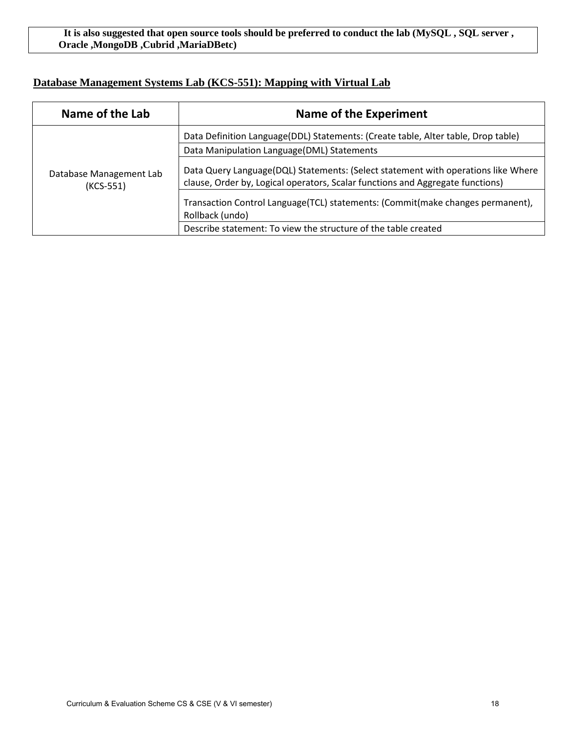#### **It is also suggested that open source tools should be preferred to conduct the lab (MySQL , SQL server , Oracle ,MongoDB ,Cubrid ,MariaDBetc)**

### **Database Management Systems Lab (KCS-551): Mapping with Virtual Lab**

| Name of the Lab                      | Name of the Experiment                                                                                                                                              |
|--------------------------------------|---------------------------------------------------------------------------------------------------------------------------------------------------------------------|
|                                      | Data Definition Language(DDL) Statements: (Create table, Alter table, Drop table)                                                                                   |
|                                      | Data Manipulation Language(DML) Statements                                                                                                                          |
| Database Management Lab<br>(KCS-551) | Data Query Language(DQL) Statements: (Select statement with operations like Where<br>clause, Order by, Logical operators, Scalar functions and Aggregate functions) |
|                                      | Transaction Control Language(TCL) statements: (Commit(make changes permanent),<br>Rollback (undo)                                                                   |
|                                      | Describe statement: To view the structure of the table created                                                                                                      |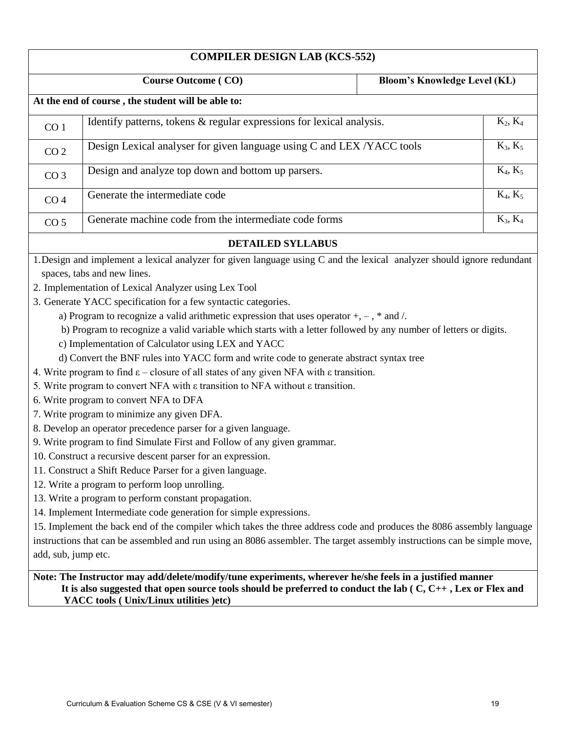|                     | <b>COMPILER DESIGN LAB (KCS-552)</b>                                                                                                                                                                                                                                                                                                                                                                                                                                                                                                                                                                                                                                                                                                                                                                                                                                                                                                                                                                                                                                                                                                                                                                                                                                                                                                                                                                                                                                                                                                                                                                                                                                                           |                                     |
|---------------------|------------------------------------------------------------------------------------------------------------------------------------------------------------------------------------------------------------------------------------------------------------------------------------------------------------------------------------------------------------------------------------------------------------------------------------------------------------------------------------------------------------------------------------------------------------------------------------------------------------------------------------------------------------------------------------------------------------------------------------------------------------------------------------------------------------------------------------------------------------------------------------------------------------------------------------------------------------------------------------------------------------------------------------------------------------------------------------------------------------------------------------------------------------------------------------------------------------------------------------------------------------------------------------------------------------------------------------------------------------------------------------------------------------------------------------------------------------------------------------------------------------------------------------------------------------------------------------------------------------------------------------------------------------------------------------------------|-------------------------------------|
|                     | <b>Course Outcome (CO)</b>                                                                                                                                                                                                                                                                                                                                                                                                                                                                                                                                                                                                                                                                                                                                                                                                                                                                                                                                                                                                                                                                                                                                                                                                                                                                                                                                                                                                                                                                                                                                                                                                                                                                     | <b>Bloom's Knowledge Level (KL)</b> |
|                     | At the end of course, the student will be able to:                                                                                                                                                                                                                                                                                                                                                                                                                                                                                                                                                                                                                                                                                                                                                                                                                                                                                                                                                                                                                                                                                                                                                                                                                                                                                                                                                                                                                                                                                                                                                                                                                                             |                                     |
| CO <sub>1</sub>     | Identify patterns, tokens & regular expressions for lexical analysis.                                                                                                                                                                                                                                                                                                                                                                                                                                                                                                                                                                                                                                                                                                                                                                                                                                                                                                                                                                                                                                                                                                                                                                                                                                                                                                                                                                                                                                                                                                                                                                                                                          | $K_2, K_4$                          |
| CO <sub>2</sub>     | Design Lexical analyser for given language using C and LEX /YACC tools                                                                                                                                                                                                                                                                                                                                                                                                                                                                                                                                                                                                                                                                                                                                                                                                                                                                                                                                                                                                                                                                                                                                                                                                                                                                                                                                                                                                                                                                                                                                                                                                                         | $K_3, K_5$                          |
| CO <sub>3</sub>     | Design and analyze top down and bottom up parsers.                                                                                                                                                                                                                                                                                                                                                                                                                                                                                                                                                                                                                                                                                                                                                                                                                                                                                                                                                                                                                                                                                                                                                                                                                                                                                                                                                                                                                                                                                                                                                                                                                                             | $K_4, K_5$                          |
| CO <sub>4</sub>     | Generate the intermediate code                                                                                                                                                                                                                                                                                                                                                                                                                                                                                                                                                                                                                                                                                                                                                                                                                                                                                                                                                                                                                                                                                                                                                                                                                                                                                                                                                                                                                                                                                                                                                                                                                                                                 | $K_4, K_5$                          |
| CO <sub>5</sub>     | Generate machine code from the intermediate code forms                                                                                                                                                                                                                                                                                                                                                                                                                                                                                                                                                                                                                                                                                                                                                                                                                                                                                                                                                                                                                                                                                                                                                                                                                                                                                                                                                                                                                                                                                                                                                                                                                                         | $K_3, K_4$                          |
|                     | <b>DETAILED SYLLABUS</b>                                                                                                                                                                                                                                                                                                                                                                                                                                                                                                                                                                                                                                                                                                                                                                                                                                                                                                                                                                                                                                                                                                                                                                                                                                                                                                                                                                                                                                                                                                                                                                                                                                                                       |                                     |
| add, sub, jump etc. | 1. Design and implement a lexical analyzer for given language using C and the lexical analyzer should ignore redundant<br>spaces, tabs and new lines.<br>2. Implementation of Lexical Analyzer using Lex Tool<br>3. Generate YACC specification for a few syntactic categories.<br>a) Program to recognize a valid arithmetic expression that uses operator $+$ , $-$ , $*$ and $/$ .<br>b) Program to recognize a valid variable which starts with a letter followed by any number of letters or digits.<br>c) Implementation of Calculator using LEX and YACC<br>d) Convert the BNF rules into YACC form and write code to generate abstract syntax tree<br>4. Write program to find $\varepsilon$ – closure of all states of any given NFA with $\varepsilon$ transition.<br>5. Write program to convert NFA with $\varepsilon$ transition to NFA without $\varepsilon$ transition.<br>6. Write program to convert NFA to DFA<br>7. Write program to minimize any given DFA.<br>8. Develop an operator precedence parser for a given language.<br>9. Write program to find Simulate First and Follow of any given grammar.<br>10. Construct a recursive descent parser for an expression.<br>11. Construct a Shift Reduce Parser for a given language.<br>12. Write a program to perform loop unrolling.<br>13. Write a program to perform constant propagation.<br>14. Implement Intermediate code generation for simple expressions.<br>15. Implement the back end of the compiler which takes the three address code and produces the 8086 assembly language<br>instructions that can be assembled and run using an 8086 assembler. The target assembly instructions can be simple move, |                                     |
|                     | Note: The Instructor may add/delete/modify/tune experiments, wherever he/she feels in a justified manner<br>It is also suggested that open source tools should be preferred to conduct the lab $(C, C_{++}, Lex$ or Flex and<br>YACC tools (Unix/Linux utilities )etc)                                                                                                                                                                                                                                                                                                                                                                                                                                                                                                                                                                                                                                                                                                                                                                                                                                                                                                                                                                                                                                                                                                                                                                                                                                                                                                                                                                                                                         |                                     |
|                     |                                                                                                                                                                                                                                                                                                                                                                                                                                                                                                                                                                                                                                                                                                                                                                                                                                                                                                                                                                                                                                                                                                                                                                                                                                                                                                                                                                                                                                                                                                                                                                                                                                                                                                |                                     |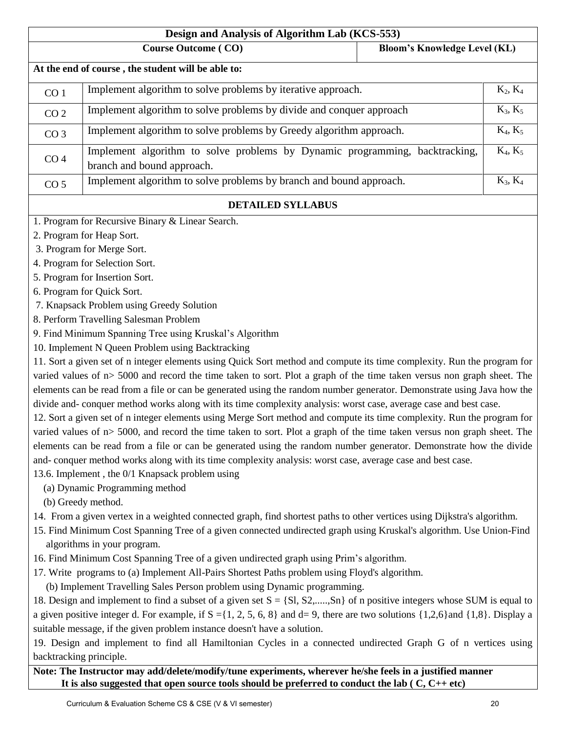|                                                                          | Design and Analysis of Algorithm Lab (KCS-553)                                                                                                     |                                     |            |
|--------------------------------------------------------------------------|----------------------------------------------------------------------------------------------------------------------------------------------------|-------------------------------------|------------|
|                                                                          | <b>Course Outcome (CO)</b>                                                                                                                         | <b>Bloom's Knowledge Level (KL)</b> |            |
|                                                                          | At the end of course, the student will be able to:                                                                                                 |                                     |            |
| CO <sub>1</sub>                                                          | Implement algorithm to solve problems by iterative approach.                                                                                       |                                     | $K_2, K_4$ |
| CO <sub>2</sub>                                                          | Implement algorithm to solve problems by divide and conquer approach                                                                               |                                     | $K_3, K_5$ |
| CO <sub>3</sub>                                                          | Implement algorithm to solve problems by Greedy algorithm approach.                                                                                |                                     | $K_4, K_5$ |
| CO <sub>4</sub>                                                          | Implement algorithm to solve problems by Dynamic programming, backtracking,<br>branch and bound approach.                                          |                                     | $K_4, K_5$ |
| CO <sub>5</sub>                                                          | Implement algorithm to solve problems by branch and bound approach.                                                                                |                                     | $K_3, K_4$ |
|                                                                          | <b>DETAILED SYLLABUS</b>                                                                                                                           |                                     |            |
|                                                                          | 1. Program for Recursive Binary & Linear Search.                                                                                                   |                                     |            |
|                                                                          | 2. Program for Heap Sort.                                                                                                                          |                                     |            |
|                                                                          | 3. Program for Merge Sort.                                                                                                                         |                                     |            |
|                                                                          | 4. Program for Selection Sort.                                                                                                                     |                                     |            |
|                                                                          | 5. Program for Insertion Sort.                                                                                                                     |                                     |            |
|                                                                          | 6. Program for Quick Sort.                                                                                                                         |                                     |            |
|                                                                          | 7. Knapsack Problem using Greedy Solution                                                                                                          |                                     |            |
|                                                                          | 8. Perform Travelling Salesman Problem                                                                                                             |                                     |            |
|                                                                          | 9. Find Minimum Spanning Tree using Kruskal's Algorithm                                                                                            |                                     |            |
|                                                                          | 10. Implement N Queen Problem using Backtracking                                                                                                   |                                     |            |
|                                                                          | 11. Sort a given set of n integer elements using Quick Sort method and compute its time complexity. Run the program for                            |                                     |            |
|                                                                          | varied values of n> 5000 and record the time taken to sort. Plot a graph of the time taken versus non graph sheet. The                             |                                     |            |
|                                                                          | elements can be read from a file or can be generated using the random number generator. Demonstrate using Java how the                             |                                     |            |
|                                                                          | divide and- conquer method works along with its time complexity analysis: worst case, average case and best case.                                  |                                     |            |
|                                                                          | 12. Sort a given set of n integer elements using Merge Sort method and compute its time complexity. Run the program for                            |                                     |            |
|                                                                          | varied values of $n > 5000$ , and record the time taken to sort. Plot a graph of the time taken versus non graph sheet. The                        |                                     |            |
|                                                                          | elements can be read from a file or can be generated using the random number generator. Demonstrate how the divide                                 |                                     |            |
|                                                                          | and-conquer method works along with its time complexity analysis: worst case, average case and best case.                                          |                                     |            |
|                                                                          | 13.6. Implement, the 0/1 Knapsack problem using                                                                                                    |                                     |            |
|                                                                          | (a) Dynamic Programming method                                                                                                                     |                                     |            |
|                                                                          | (b) Greedy method.                                                                                                                                 |                                     |            |
|                                                                          | 14. From a given vertex in a weighted connected graph, find shortest paths to other vertices using Dijkstra's algorithm.                           |                                     |            |
|                                                                          | 15. Find Minimum Cost Spanning Tree of a given connected undirected graph using Kruskal's algorithm. Use Union-Find<br>algorithms in your program. |                                     |            |
|                                                                          | 16. Find Minimum Cost Spanning Tree of a given undirected graph using Prim's algorithm.                                                            |                                     |            |
|                                                                          | 17. Write programs to (a) Implement All-Pairs Shortest Paths problem using Floyd's algorithm.                                                      |                                     |            |
|                                                                          | (b) Implement Travelling Sales Person problem using Dynamic programming.                                                                           |                                     |            |
|                                                                          | 18. Design and implement to find a subset of a given set $S = \{S1, S2, \ldots, Sn\}$ of n positive integers whose SUM is equal to                 |                                     |            |
|                                                                          | a given positive integer d. For example, if $S = \{1, 2, 5, 6, 8\}$ and $d = 9$ , there are two solutions $\{1,2,6\}$ and $\{1,8\}$ . Display a    |                                     |            |
| suitable message, if the given problem instance doesn't have a solution. |                                                                                                                                                    |                                     |            |
|                                                                          | 19. Design and implement to find all Hamiltonian Cycles in a connected undirected Graph G of n vertices using                                      |                                     |            |
|                                                                          | backtracking principle.                                                                                                                            |                                     |            |

**Note: The Instructor may add/delete/modify/tune experiments, wherever he/she feels in a justified manner It is also suggested that open source tools should be preferred to conduct the lab ( C, C++ etc)**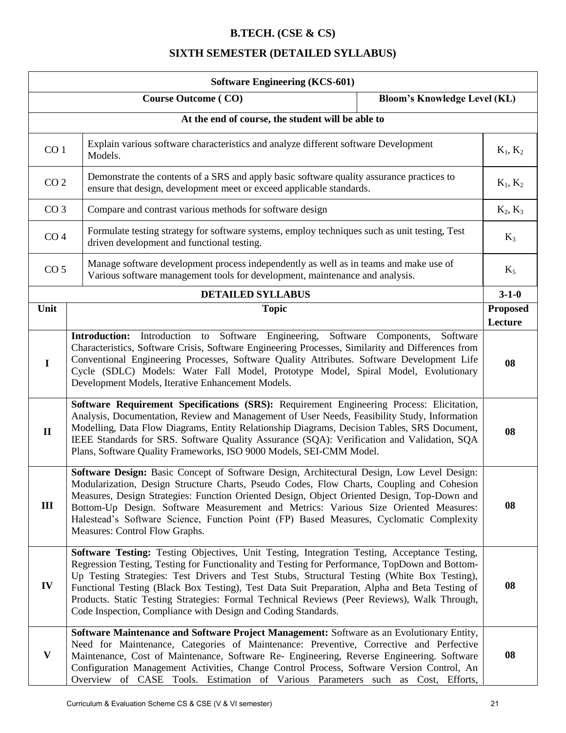### **B.TECH. (CSE & CS)**

## **SIXTH SEMESTER (DETAILED SYLLABUS)**

|                                                                                                                                                                                                                                                                                                                                                                                                                                                             | <b>Software Engineering (KCS-601)</b>                                                                                                                                                                                                                                                                                                                                                                                                                                                                                                                          |                            |
|-------------------------------------------------------------------------------------------------------------------------------------------------------------------------------------------------------------------------------------------------------------------------------------------------------------------------------------------------------------------------------------------------------------------------------------------------------------|----------------------------------------------------------------------------------------------------------------------------------------------------------------------------------------------------------------------------------------------------------------------------------------------------------------------------------------------------------------------------------------------------------------------------------------------------------------------------------------------------------------------------------------------------------------|----------------------------|
|                                                                                                                                                                                                                                                                                                                                                                                                                                                             | <b>Bloom's Knowledge Level (KL)</b><br><b>Course Outcome (CO)</b>                                                                                                                                                                                                                                                                                                                                                                                                                                                                                              |                            |
|                                                                                                                                                                                                                                                                                                                                                                                                                                                             | At the end of course, the student will be able to                                                                                                                                                                                                                                                                                                                                                                                                                                                                                                              |                            |
| Explain various software characteristics and analyze different software Development<br>CO <sub>1</sub><br>Models.                                                                                                                                                                                                                                                                                                                                           |                                                                                                                                                                                                                                                                                                                                                                                                                                                                                                                                                                | $K_1, K_2$                 |
| CO <sub>2</sub>                                                                                                                                                                                                                                                                                                                                                                                                                                             | Demonstrate the contents of a SRS and apply basic software quality assurance practices to<br>ensure that design, development meet or exceed applicable standards.                                                                                                                                                                                                                                                                                                                                                                                              | $K_1, K_2$                 |
| CO <sub>3</sub>                                                                                                                                                                                                                                                                                                                                                                                                                                             | Compare and contrast various methods for software design                                                                                                                                                                                                                                                                                                                                                                                                                                                                                                       | $K_2, K_3$                 |
| CO <sub>4</sub>                                                                                                                                                                                                                                                                                                                                                                                                                                             | Formulate testing strategy for software systems, employ techniques such as unit testing, Test<br>driven development and functional testing.                                                                                                                                                                                                                                                                                                                                                                                                                    | $K_3$                      |
| CO <sub>5</sub>                                                                                                                                                                                                                                                                                                                                                                                                                                             | Manage software development process independently as well as in teams and make use of<br>Various software management tools for development, maintenance and analysis.                                                                                                                                                                                                                                                                                                                                                                                          | $K_5$                      |
|                                                                                                                                                                                                                                                                                                                                                                                                                                                             | <b>DETAILED SYLLABUS</b>                                                                                                                                                                                                                                                                                                                                                                                                                                                                                                                                       | $3 - 1 - 0$                |
| Unit                                                                                                                                                                                                                                                                                                                                                                                                                                                        | <b>Topic</b>                                                                                                                                                                                                                                                                                                                                                                                                                                                                                                                                                   | <b>Proposed</b><br>Lecture |
| Introduction to Software Engineering, Software Components,<br><b>Introduction:</b><br>Software<br>Characteristics, Software Crisis, Software Engineering Processes, Similarity and Differences from<br>Conventional Engineering Processes, Software Quality Attributes. Software Development Life<br>$\mathbf I$<br>Cycle (SDLC) Models: Water Fall Model, Prototype Model, Spiral Model, Evolutionary<br>Development Models, Iterative Enhancement Models. |                                                                                                                                                                                                                                                                                                                                                                                                                                                                                                                                                                | 08                         |
| $\mathbf{I}$                                                                                                                                                                                                                                                                                                                                                                                                                                                | Software Requirement Specifications (SRS): Requirement Engineering Process: Elicitation,<br>Analysis, Documentation, Review and Management of User Needs, Feasibility Study, Information<br>Modelling, Data Flow Diagrams, Entity Relationship Diagrams, Decision Tables, SRS Document,<br>IEEE Standards for SRS. Software Quality Assurance (SQA): Verification and Validation, SQA<br>Plans, Software Quality Frameworks, ISO 9000 Models, SEI-CMM Model.                                                                                                   |                            |
| III                                                                                                                                                                                                                                                                                                                                                                                                                                                         | Software Design: Basic Concept of Software Design, Architectural Design, Low Level Design:<br>Modularization, Design Structure Charts, Pseudo Codes, Flow Charts, Coupling and Cohesion<br>Measures, Design Strategies: Function Oriented Design, Object Oriented Design, Top-Down and<br>Bottom-Up Design. Software Measurement and Metrics: Various Size Oriented Measures:<br>Halestead's Software Science, Function Point (FP) Based Measures, Cyclomatic Complexity<br>Measures: Control Flow Graphs.                                                     |                            |
| IV                                                                                                                                                                                                                                                                                                                                                                                                                                                          | Software Testing: Testing Objectives, Unit Testing, Integration Testing, Acceptance Testing,<br>Regression Testing, Testing for Functionality and Testing for Performance, TopDown and Bottom-<br>Up Testing Strategies: Test Drivers and Test Stubs, Structural Testing (White Box Testing),<br>Functional Testing (Black Box Testing), Test Data Suit Preparation, Alpha and Beta Testing of<br>Products. Static Testing Strategies: Formal Technical Reviews (Peer Reviews), Walk Through,<br>Code Inspection, Compliance with Design and Coding Standards. | 08                         |
| $\mathbf{V}$                                                                                                                                                                                                                                                                                                                                                                                                                                                | Software Maintenance and Software Project Management: Software as an Evolutionary Entity,<br>Need for Maintenance, Categories of Maintenance: Preventive, Corrective and Perfective<br>Maintenance, Cost of Maintenance, Software Re- Engineering, Reverse Engineering. Software<br>Configuration Management Activities, Change Control Process, Software Version Control, An<br>Overview of CASE Tools. Estimation of Various Parameters such as Cost, Efforts,                                                                                               | 08                         |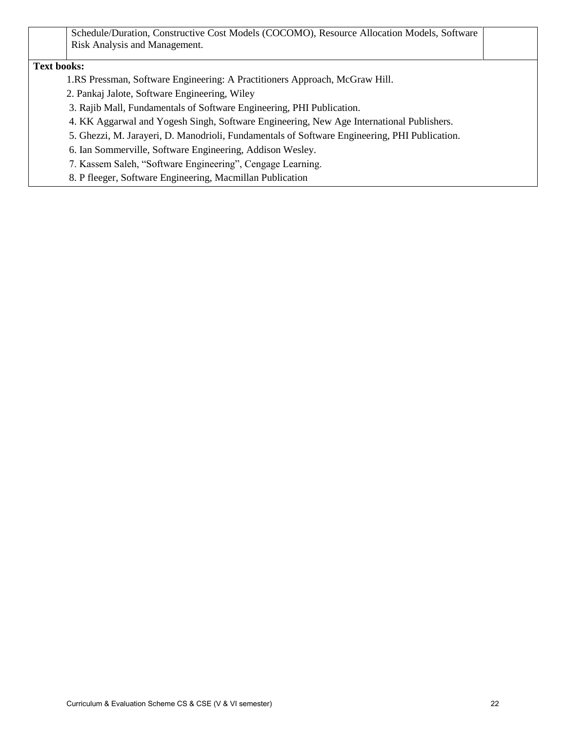|                                                                       | Schedule/Duration, Constructive Cost Models (COCOMO), Resource Allocation Models, Software    |
|-----------------------------------------------------------------------|-----------------------------------------------------------------------------------------------|
| Risk Analysis and Management.                                         |                                                                                               |
| <b>Text books:</b>                                                    |                                                                                               |
|                                                                       | 1.RS Pressman, Software Engineering: A Practitioners Approach, McGraw Hill.                   |
| 2. Pankaj Jalote, Software Engineering, Wiley                         |                                                                                               |
| 3. Rajib Mall, Fundamentals of Software Engineering, PHI Publication. |                                                                                               |
|                                                                       | 4. KK Aggarwal and Yogesh Singh, Software Engineering, New Age International Publishers.      |
|                                                                       | 5. Ghezzi, M. Jarayeri, D. Manodrioli, Fundamentals of Software Engineering, PHI Publication. |
| 6. Ian Sommerville, Software Engineering, Addison Wesley.             |                                                                                               |
| 7. Kassem Saleh, "Software Engineering", Cengage Learning.            |                                                                                               |
| 8. P fleeger, Software Engineering, Macmillan Publication             |                                                                                               |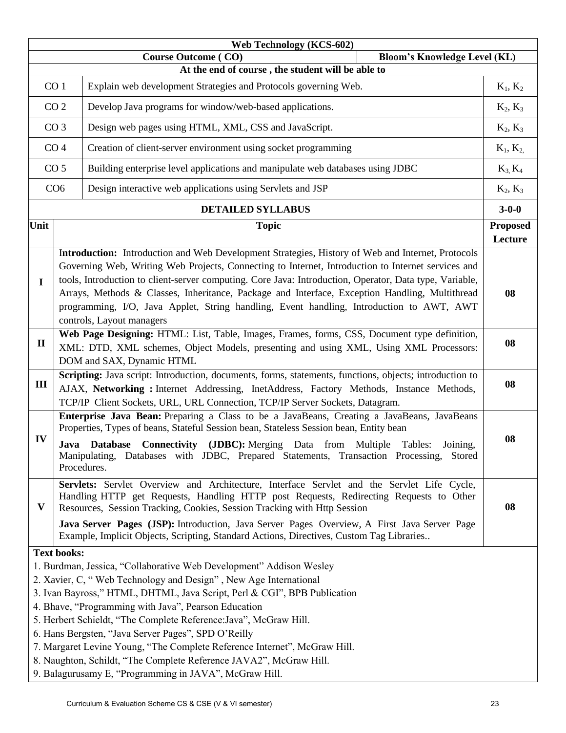|                                                                                    |                    | <b>Web Technology (KCS-602)</b>                                                                                                                                                                                                                                                                                                                                                                                                                                                                                                                                                                                      |  |                            |
|------------------------------------------------------------------------------------|--------------------|----------------------------------------------------------------------------------------------------------------------------------------------------------------------------------------------------------------------------------------------------------------------------------------------------------------------------------------------------------------------------------------------------------------------------------------------------------------------------------------------------------------------------------------------------------------------------------------------------------------------|--|----------------------------|
| <b>Course Outcome (CO)</b><br><b>Bloom's Knowledge Level (KL)</b>                  |                    |                                                                                                                                                                                                                                                                                                                                                                                                                                                                                                                                                                                                                      |  |                            |
| At the end of course, the student will be able to                                  |                    |                                                                                                                                                                                                                                                                                                                                                                                                                                                                                                                                                                                                                      |  |                            |
| CO <sub>1</sub><br>Explain web development Strategies and Protocols governing Web. |                    | $K_1, K_2$                                                                                                                                                                                                                                                                                                                                                                                                                                                                                                                                                                                                           |  |                            |
| CO <sub>2</sub><br>Develop Java programs for window/web-based applications.        |                    | $K_2, K_3$                                                                                                                                                                                                                                                                                                                                                                                                                                                                                                                                                                                                           |  |                            |
|                                                                                    | CO <sub>3</sub>    | Design web pages using HTML, XML, CSS and JavaScript.                                                                                                                                                                                                                                                                                                                                                                                                                                                                                                                                                                |  | $K_2, K_3$                 |
|                                                                                    | CO <sub>4</sub>    | Creation of client-server environment using socket programming                                                                                                                                                                                                                                                                                                                                                                                                                                                                                                                                                       |  | $K_1, K_2$                 |
|                                                                                    | CO <sub>5</sub>    | Building enterprise level applications and manipulate web databases using JDBC                                                                                                                                                                                                                                                                                                                                                                                                                                                                                                                                       |  | $K_3, K_4$                 |
|                                                                                    | CO <sub>6</sub>    | Design interactive web applications using Servlets and JSP                                                                                                                                                                                                                                                                                                                                                                                                                                                                                                                                                           |  | $K_2, K_3$                 |
|                                                                                    |                    | <b>DETAILED SYLLABUS</b>                                                                                                                                                                                                                                                                                                                                                                                                                                                                                                                                                                                             |  | $3 - 0 - 0$                |
| Unit                                                                               |                    | <b>Topic</b>                                                                                                                                                                                                                                                                                                                                                                                                                                                                                                                                                                                                         |  | <b>Proposed</b><br>Lecture |
| $\mathbf I$                                                                        |                    | Introduction: Introduction and Web Development Strategies, History of Web and Internet, Protocols<br>Governing Web, Writing Web Projects, Connecting to Internet, Introduction to Internet services and<br>tools, Introduction to client-server computing. Core Java: Introduction, Operator, Data type, Variable,<br>Arrays, Methods & Classes, Inheritance, Package and Interface, Exception Handling, Multithread<br>programming, I/O, Java Applet, String handling, Event handling, Introduction to AWT, AWT<br>controls, Layout managers                                                                        |  | 08                         |
| $\mathbf{I}$                                                                       |                    | Web Page Designing: HTML: List, Table, Images, Frames, forms, CSS, Document type definition,<br>XML: DTD, XML schemes, Object Models, presenting and using XML, Using XML Processors:<br>DOM and SAX, Dynamic HTML                                                                                                                                                                                                                                                                                                                                                                                                   |  | 08                         |
| III                                                                                |                    | Scripting: Java script: Introduction, documents, forms, statements, functions, objects; introduction to<br>AJAX, Networking : Internet Addressing, InetAddress, Factory Methods, Instance Methods,<br>TCP/IP Client Sockets, URL, URL Connection, TCP/IP Server Sockets, Datagram.                                                                                                                                                                                                                                                                                                                                   |  | 08                         |
| IV                                                                                 | Procedures.        | Enterprise Java Bean: Preparing a Class to be a JavaBeans, Creating a JavaBeans, JavaBeans<br>Properties, Types of beans, Stateful Session bean, Stateless Session bean, Entity bean<br>Java Database Connectivity (JDBC): Merging Data from Multiple Tables: Joining,<br>Manipulating, Databases with JDBC, Prepared Statements, Transaction Processing, Stored                                                                                                                                                                                                                                                     |  | 08                         |
| V                                                                                  |                    | Servlets: Servlet Overview and Architecture, Interface Servlet and the Servlet Life Cycle,<br>Handling HTTP get Requests, Handling HTTP post Requests, Redirecting Requests to Other<br>Resources, Session Tracking, Cookies, Session Tracking with Http Session<br>Java Server Pages (JSP): Introduction, Java Server Pages Overview, A First Java Server Page<br>Example, Implicit Objects, Scripting, Standard Actions, Directives, Custom Tag Libraries                                                                                                                                                          |  | 08                         |
|                                                                                    | <b>Text books:</b> | 1. Burdman, Jessica, "Collaborative Web Development" Addison Wesley<br>2. Xavier, C, "Web Technology and Design", New Age International<br>3. Ivan Bayross," HTML, DHTML, Java Script, Perl & CGI", BPB Publication<br>4. Bhave, "Programming with Java", Pearson Education<br>5. Herbert Schieldt, "The Complete Reference: Java", McGraw Hill.<br>6. Hans Bergsten, "Java Server Pages", SPD O'Reilly<br>7. Margaret Levine Young, "The Complete Reference Internet", McGraw Hill.<br>8. Naughton, Schildt, "The Complete Reference JAVA2", McGraw Hill.<br>9. Balagurusamy E, "Programming in JAVA", McGraw Hill. |  |                            |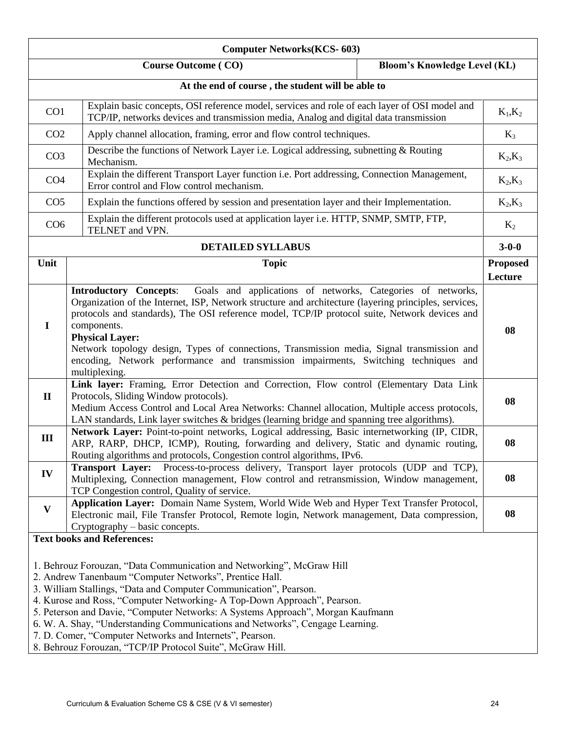| <b>Computer Networks(KCS-603)</b> |                                                                                                                                                                                                                                                                                                                                                                                                                                                                                                                                                                                 |                            |
|-----------------------------------|---------------------------------------------------------------------------------------------------------------------------------------------------------------------------------------------------------------------------------------------------------------------------------------------------------------------------------------------------------------------------------------------------------------------------------------------------------------------------------------------------------------------------------------------------------------------------------|----------------------------|
|                                   | <b>Course Outcome (CO)</b><br><b>Bloom's Knowledge Level (KL)</b>                                                                                                                                                                                                                                                                                                                                                                                                                                                                                                               |                            |
|                                   | At the end of course, the student will be able to                                                                                                                                                                                                                                                                                                                                                                                                                                                                                                                               |                            |
| CO <sub>1</sub>                   | Explain basic concepts, OSI reference model, services and role of each layer of OSI model and<br>TCP/IP, networks devices and transmission media, Analog and digital data transmission                                                                                                                                                                                                                                                                                                                                                                                          | $K_1,K_2$                  |
| CO <sub>2</sub>                   | Apply channel allocation, framing, error and flow control techniques.                                                                                                                                                                                                                                                                                                                                                                                                                                                                                                           | $K_3$                      |
| CO <sub>3</sub>                   | Describe the functions of Network Layer i.e. Logical addressing, subnetting & Routing<br>Mechanism.                                                                                                                                                                                                                                                                                                                                                                                                                                                                             | $K_2,K_3$                  |
| CO <sub>4</sub>                   | Explain the different Transport Layer function i.e. Port addressing, Connection Management,<br>Error control and Flow control mechanism.                                                                                                                                                                                                                                                                                                                                                                                                                                        | $K_2, K_3$                 |
| CO <sub>5</sub>                   | Explain the functions offered by session and presentation layer and their Implementation.                                                                                                                                                                                                                                                                                                                                                                                                                                                                                       | $K_2,K_3$                  |
| CO <sub>6</sub>                   | Explain the different protocols used at application layer i.e. HTTP, SNMP, SMTP, FTP,<br>TELNET and VPN.                                                                                                                                                                                                                                                                                                                                                                                                                                                                        | $K_2$                      |
|                                   | <b>DETAILED SYLLABUS</b>                                                                                                                                                                                                                                                                                                                                                                                                                                                                                                                                                        | $3 - 0 - 0$                |
| Unit                              | <b>Topic</b>                                                                                                                                                                                                                                                                                                                                                                                                                                                                                                                                                                    | <b>Proposed</b><br>Lecture |
| $\mathbf I$                       | <b>Introductory Concepts:</b><br>Goals and applications of networks, Categories of networks,<br>Organization of the Internet, ISP, Network structure and architecture (layering principles, services,<br>protocols and standards), The OSI reference model, TCP/IP protocol suite, Network devices and<br>components.<br><b>Physical Layer:</b><br>Network topology design, Types of connections, Transmission media, Signal transmission and<br>encoding, Network performance and transmission impairments, Switching techniques and<br>multiplexing.                          | 08                         |
| $\mathbf{I}$                      | Link layer: Framing, Error Detection and Correction, Flow control (Elementary Data Link<br>Protocols, Sliding Window protocols).<br>Medium Access Control and Local Area Networks: Channel allocation, Multiple access protocols,<br>LAN standards, Link layer switches & bridges (learning bridge and spanning tree algorithms).                                                                                                                                                                                                                                               | 08                         |
| Ш                                 | Network Layer: Point-to-point networks, Logical addressing, Basic internetworking (IP, CIDR,<br>ARP, RARP, DHCP, ICMP), Routing, forwarding and delivery, Static and dynamic routing,<br>Routing algorithms and protocols, Congestion control algorithms, IPv6.                                                                                                                                                                                                                                                                                                                 | 08                         |
| IV                                | Process-to-process delivery, Transport layer protocols (UDP and TCP),<br><b>Transport Layer:</b><br>Multiplexing, Connection management, Flow control and retransmission, Window management,<br>TCP Congestion control, Quality of service.                                                                                                                                                                                                                                                                                                                                     | 08                         |
| $\mathbf{V}$                      | Application Layer: Domain Name System, World Wide Web and Hyper Text Transfer Protocol,<br>Electronic mail, File Transfer Protocol, Remote login, Network management, Data compression,<br>Cryptography – basic concepts.                                                                                                                                                                                                                                                                                                                                                       | 08                         |
|                                   | <b>Text books and References:</b>                                                                                                                                                                                                                                                                                                                                                                                                                                                                                                                                               |                            |
|                                   | 1. Behrouz Forouzan, "Data Communication and Networking", McGraw Hill<br>2. Andrew Tanenbaum "Computer Networks", Prentice Hall.<br>3. William Stallings, "Data and Computer Communication", Pearson.<br>4. Kurose and Ross, "Computer Networking- A Top-Down Approach", Pearson.<br>5. Peterson and Davie, "Computer Networks: A Systems Approach", Morgan Kaufmann<br>6. W. A. Shay, "Understanding Communications and Networks", Cengage Learning.<br>7. D. Comer, "Computer Networks and Internets", Pearson.<br>8. Behrouz Forouzan, "TCP/IP Protocol Suite", McGraw Hill. |                            |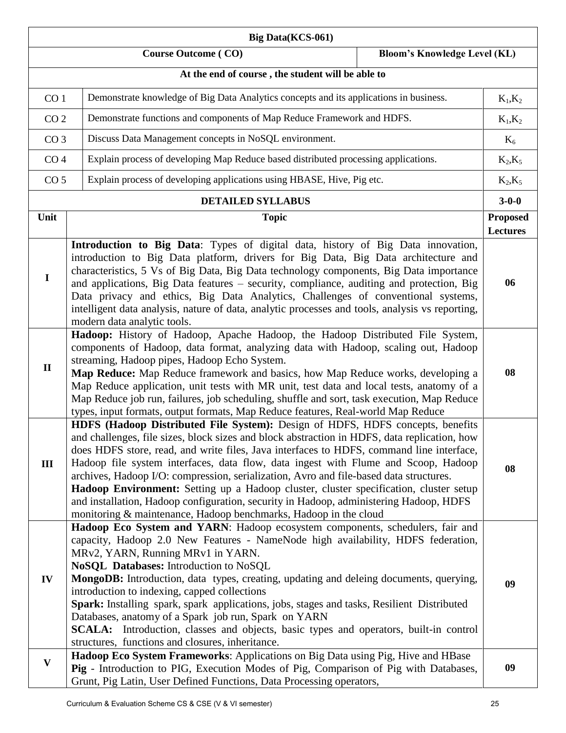| <b>Big Data(KCS-061)</b> |                                                                                                                                                                                                                                                                                                                                                                                                                                                                                                                                                                                                                                                                                                                   |                                    |
|--------------------------|-------------------------------------------------------------------------------------------------------------------------------------------------------------------------------------------------------------------------------------------------------------------------------------------------------------------------------------------------------------------------------------------------------------------------------------------------------------------------------------------------------------------------------------------------------------------------------------------------------------------------------------------------------------------------------------------------------------------|------------------------------------|
|                          | <b>Course Outcome (CO)</b><br><b>Bloom's Knowledge Level (KL)</b>                                                                                                                                                                                                                                                                                                                                                                                                                                                                                                                                                                                                                                                 |                                    |
|                          | At the end of course, the student will be able to                                                                                                                                                                                                                                                                                                                                                                                                                                                                                                                                                                                                                                                                 |                                    |
|                          | Demonstrate knowledge of Big Data Analytics concepts and its applications in business.<br>CO <sub>1</sub>                                                                                                                                                                                                                                                                                                                                                                                                                                                                                                                                                                                                         |                                    |
| CO <sub>2</sub>          | Demonstrate functions and components of Map Reduce Framework and HDFS.                                                                                                                                                                                                                                                                                                                                                                                                                                                                                                                                                                                                                                            | $K_1,K_2$                          |
| CO <sub>3</sub>          | Discuss Data Management concepts in NoSQL environment.                                                                                                                                                                                                                                                                                                                                                                                                                                                                                                                                                                                                                                                            | $K_6$                              |
| CO <sub>4</sub>          | Explain process of developing Map Reduce based distributed processing applications.                                                                                                                                                                                                                                                                                                                                                                                                                                                                                                                                                                                                                               | $K_2,K_5$                          |
| CO <sub>5</sub>          | Explain process of developing applications using HBASE, Hive, Pig etc.                                                                                                                                                                                                                                                                                                                                                                                                                                                                                                                                                                                                                                            | $K_2,K_5$                          |
|                          | <b>DETAILED SYLLABUS</b>                                                                                                                                                                                                                                                                                                                                                                                                                                                                                                                                                                                                                                                                                          | $3 - 0 - 0$                        |
| Unit                     | <b>Topic</b>                                                                                                                                                                                                                                                                                                                                                                                                                                                                                                                                                                                                                                                                                                      | <b>Proposed</b><br><b>Lectures</b> |
| $\mathbf I$              | Introduction to Big Data: Types of digital data, history of Big Data innovation,<br>introduction to Big Data platform, drivers for Big Data, Big Data architecture and<br>characteristics, 5 Vs of Big Data, Big Data technology components, Big Data importance<br>and applications, Big Data features - security, compliance, auditing and protection, Big<br>Data privacy and ethics, Big Data Analytics, Challenges of conventional systems,<br>intelligent data analysis, nature of data, analytic processes and tools, analysis vs reporting,<br>modern data analytic tools.                                                                                                                                | 06                                 |
| $\mathbf{I}$             | Hadoop: History of Hadoop, Apache Hadoop, the Hadoop Distributed File System,<br>components of Hadoop, data format, analyzing data with Hadoop, scaling out, Hadoop<br>streaming, Hadoop pipes, Hadoop Echo System.<br>Map Reduce: Map Reduce framework and basics, how Map Reduce works, developing a<br>Map Reduce application, unit tests with MR unit, test data and local tests, anatomy of a<br>Map Reduce job run, failures, job scheduling, shuffle and sort, task execution, Map Reduce<br>types, input formats, output formats, Map Reduce features, Real-world Map Reduce                                                                                                                              | 08                                 |
| Ш                        | HDFS (Hadoop Distributed File System): Design of HDFS, HDFS concepts, benefits<br>and challenges, file sizes, block sizes and block abstraction in HDFS, data replication, how<br>does HDFS store, read, and write files, Java interfaces to HDFS, command line interface,<br>Hadoop file system interfaces, data flow, data ingest with Flume and Scoop, Hadoop<br>archives, Hadoop I/O: compression, serialization, Avro and file-based data structures.<br>Hadoop Environment: Setting up a Hadoop cluster, cluster specification, cluster setup<br>and installation, Hadoop configuration, security in Hadoop, administering Hadoop, HDFS<br>monitoring & maintenance, Hadoop benchmarks, Hadoop in the cloud | 08                                 |
| IV                       | Hadoop Eco System and YARN: Hadoop ecosystem components, schedulers, fair and<br>capacity, Hadoop 2.0 New Features - NameNode high availability, HDFS federation,<br>MRv2, YARN, Running MRv1 in YARN.<br>NoSQL Databases: Introduction to NoSQL<br>MongoDB: Introduction, data types, creating, updating and deleing documents, querying,<br>introduction to indexing, capped collections<br>Spark: Installing spark, spark applications, jobs, stages and tasks, Resilient Distributed<br>Databases, anatomy of a Spark job run, Spark on YARN<br>SCALA: Introduction, classes and objects, basic types and operators, built-in control<br>structures, functions and closures, inheritance.                     | 09                                 |
| $\mathbf{V}$             | Hadoop Eco System Frameworks: Applications on Big Data using Pig, Hive and HBase<br>Pig - Introduction to PIG, Execution Modes of Pig, Comparison of Pig with Databases,<br>Grunt, Pig Latin, User Defined Functions, Data Processing operators,                                                                                                                                                                                                                                                                                                                                                                                                                                                                  | 09                                 |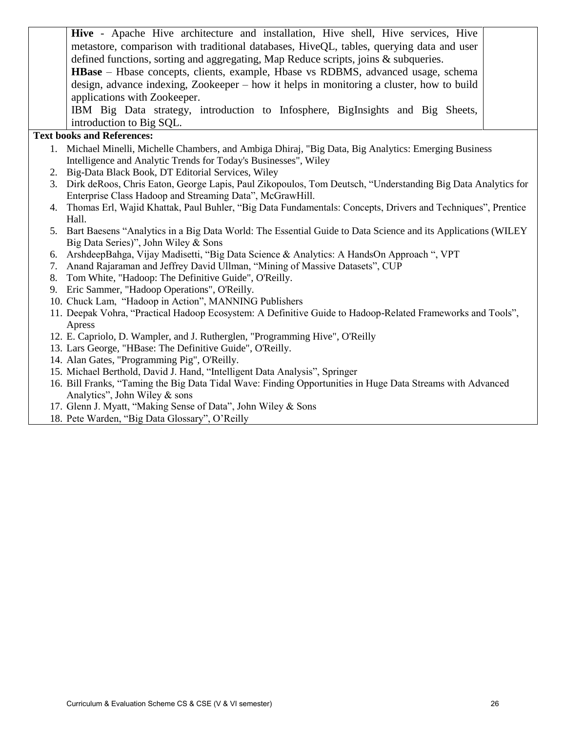Hive - Apache Hive architecture and installation, Hive shell, Hive services, Hive metastore, comparison with traditional databases, HiveQL, tables, querying data and user defined functions, sorting and aggregating, Map Reduce scripts, joins & subqueries. **HBase** – Hbase concepts, clients, example, Hbase vs RDBMS, advanced usage, schema design, advance indexing, Zookeeper – how it helps in monitoring a cluster, how to build applications with Zookeeper. IBM Big Data strategy, introduction to Infosphere, BigInsights and Big Sheets, introduction to Big SQL.

#### **Text books and References:**

- 1. Michael Minelli, Michelle Chambers, and Ambiga Dhiraj, "Big Data, Big Analytics: Emerging Business Intelligence and Analytic Trends for Today's Businesses", Wiley
- 2. Big-Data Black Book, DT Editorial Services, Wiley
- 3. Dirk deRoos, Chris Eaton, George Lapis, Paul Zikopoulos, Tom Deutsch, "Understanding Big Data Analytics for Enterprise Class Hadoop and Streaming Data", McGrawHill.
- 4. Thomas Erl, Wajid Khattak, Paul Buhler, "Big Data Fundamentals: Concepts, Drivers and Techniques", Prentice Hall.
- 5. Bart Baesens "Analytics in a Big Data World: The Essential Guide to Data Science and its Applications (WILEY Big Data Series)", John Wiley & Sons
- 6. ArshdeepBahga, Vijay Madisetti, "Big Data Science & Analytics: A HandsOn Approach ", VPT
- 7. Anand Rajaraman and Jeffrey David Ullman, "Mining of Massive Datasets", CUP
- 8. Tom White, "Hadoop: The Definitive Guide", O'Reilly.
- 9. Eric Sammer, "Hadoop Operations", O'Reilly.
- 10. Chuck Lam, "Hadoop in Action", MANNING Publishers
- 11. Deepak Vohra, "Practical Hadoop Ecosystem: A Definitive Guide to Hadoop-Related Frameworks and Tools", Apress
- 12. E. Capriolo, D. Wampler, and J. Rutherglen, "Programming Hive", O'Reilly
- 13. Lars George, "HBase: The Definitive Guide", O'Reilly.
- 14. Alan Gates, "Programming Pig", O'Reilly.
- 15. Michael Berthold, David J. Hand, "Intelligent Data Analysis", Springer
- 16. Bill Franks, "Taming the Big Data Tidal Wave: Finding Opportunities in Huge Data Streams with Advanced Analytics", John Wiley & sons
- 17. Glenn J. Myatt, "Making Sense of Data", John Wiley & Sons
- 18. Pete Warden, "Big Data Glossary", O'Reilly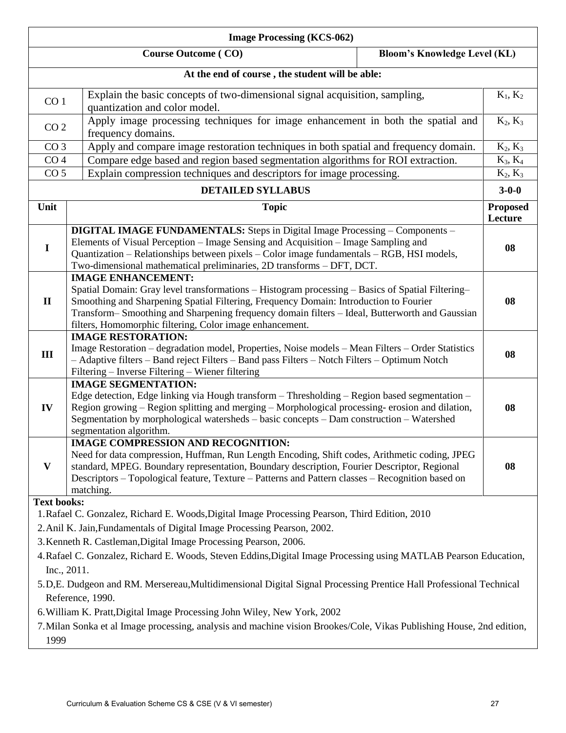|                                                                                                                                 | <b>Image Processing (KCS-062)</b>                                                                                                                                                                                                                                                                                                                                                                                                                                                                                                                                                                                                                                                                                               |                            |  |
|---------------------------------------------------------------------------------------------------------------------------------|---------------------------------------------------------------------------------------------------------------------------------------------------------------------------------------------------------------------------------------------------------------------------------------------------------------------------------------------------------------------------------------------------------------------------------------------------------------------------------------------------------------------------------------------------------------------------------------------------------------------------------------------------------------------------------------------------------------------------------|----------------------------|--|
|                                                                                                                                 | <b>Course Outcome (CO)</b><br><b>Bloom's Knowledge Level (KL)</b>                                                                                                                                                                                                                                                                                                                                                                                                                                                                                                                                                                                                                                                               |                            |  |
|                                                                                                                                 | At the end of course, the student will be able:                                                                                                                                                                                                                                                                                                                                                                                                                                                                                                                                                                                                                                                                                 |                            |  |
| Explain the basic concepts of two-dimensional signal acquisition, sampling,<br>CO <sub>1</sub><br>quantization and color model. |                                                                                                                                                                                                                                                                                                                                                                                                                                                                                                                                                                                                                                                                                                                                 | $K_1, K_2$                 |  |
| CO <sub>2</sub>                                                                                                                 | Apply image processing techniques for image enhancement in both the spatial and<br>frequency domains.                                                                                                                                                                                                                                                                                                                                                                                                                                                                                                                                                                                                                           | $K_2, K_3$                 |  |
| CO <sub>3</sub>                                                                                                                 | Apply and compare image restoration techniques in both spatial and frequency domain.                                                                                                                                                                                                                                                                                                                                                                                                                                                                                                                                                                                                                                            | $K_2, K_3$                 |  |
| CO <sub>4</sub>                                                                                                                 | Compare edge based and region based segmentation algorithms for ROI extraction.                                                                                                                                                                                                                                                                                                                                                                                                                                                                                                                                                                                                                                                 | $K_3, K_4$                 |  |
| CO <sub>5</sub>                                                                                                                 | Explain compression techniques and descriptors for image processing.                                                                                                                                                                                                                                                                                                                                                                                                                                                                                                                                                                                                                                                            | $K_2, K_3$                 |  |
|                                                                                                                                 | <b>DETAILED SYLLABUS</b>                                                                                                                                                                                                                                                                                                                                                                                                                                                                                                                                                                                                                                                                                                        | $3 - 0 - 0$                |  |
| Unit                                                                                                                            | <b>Topic</b>                                                                                                                                                                                                                                                                                                                                                                                                                                                                                                                                                                                                                                                                                                                    | <b>Proposed</b><br>Lecture |  |
| $\mathbf I$                                                                                                                     | <b>DIGITAL IMAGE FUNDAMENTALS:</b> Steps in Digital Image Processing – Components –<br>Elements of Visual Perception – Image Sensing and Acquisition – Image Sampling and<br>Quantization - Relationships between pixels - Color image fundamentals - RGB, HSI models,<br>Two-dimensional mathematical preliminaries, 2D transforms - DFT, DCT.                                                                                                                                                                                                                                                                                                                                                                                 | 08                         |  |
| $\mathbf{I}$                                                                                                                    | <b>IMAGE ENHANCEMENT:</b><br>Spatial Domain: Gray level transformations – Histogram processing – Basics of Spatial Filtering–<br>Smoothing and Sharpening Spatial Filtering, Frequency Domain: Introduction to Fourier<br>Transform-Smoothing and Sharpening frequency domain filters - Ideal, Butterworth and Gaussian<br>filters, Homomorphic filtering, Color image enhancement.                                                                                                                                                                                                                                                                                                                                             | 08                         |  |
| III                                                                                                                             | <b>IMAGE RESTORATION:</b><br>Image Restoration - degradation model, Properties, Noise models - Mean Filters - Order Statistics<br>- Adaptive filters - Band reject Filters - Band pass Filters - Notch Filters - Optimum Notch<br>Filtering - Inverse Filtering - Wiener filtering                                                                                                                                                                                                                                                                                                                                                                                                                                              | 08                         |  |
| IV                                                                                                                              | <b>IMAGE SEGMENTATION:</b><br>Edge detection, Edge linking via Hough transform - Thresholding - Region based segmentation -<br>Region growing – Region splitting and merging – Morphological processing-erosion and dilation,<br>Segmentation by morphological watersheds - basic concepts - Dam construction - Watershed<br>segmentation algorithm.                                                                                                                                                                                                                                                                                                                                                                            | 08                         |  |
| V                                                                                                                               | <b>IMAGE COMPRESSION AND RECOGNITION:</b><br>Need for data compression, Huffman, Run Length Encoding, Shift codes, Arithmetic coding, JPEG<br>standard, MPEG. Boundary representation, Boundary description, Fourier Descriptor, Regional<br>Descriptors - Topological feature, Texture - Patterns and Pattern classes - Recognition based on<br>matching.                                                                                                                                                                                                                                                                                                                                                                      | 08                         |  |
| <b>Text books:</b>                                                                                                              | 1. Rafael C. Gonzalez, Richard E. Woods, Digital Image Processing Pearson, Third Edition, 2010<br>2. Anil K. Jain, Fundamentals of Digital Image Processing Pearson, 2002.<br>3. Kenneth R. Castleman, Digital Image Processing Pearson, 2006.<br>4. Rafael C. Gonzalez, Richard E. Woods, Steven Eddins, Digital Image Processing using MATLAB Pearson Education,<br>Inc., 2011.<br>5.D,E. Dudgeon and RM. Mersereau, Multidimensional Digital Signal Processing Prentice Hall Professional Technical<br>Reference, 1990.<br>6. William K. Pratt, Digital Image Processing John Wiley, New York, 2002<br>7. Milan Sonka et al Image processing, analysis and machine vision Brookes/Cole, Vikas Publishing House, 2nd edition, |                            |  |
|                                                                                                                                 | 1999                                                                                                                                                                                                                                                                                                                                                                                                                                                                                                                                                                                                                                                                                                                            |                            |  |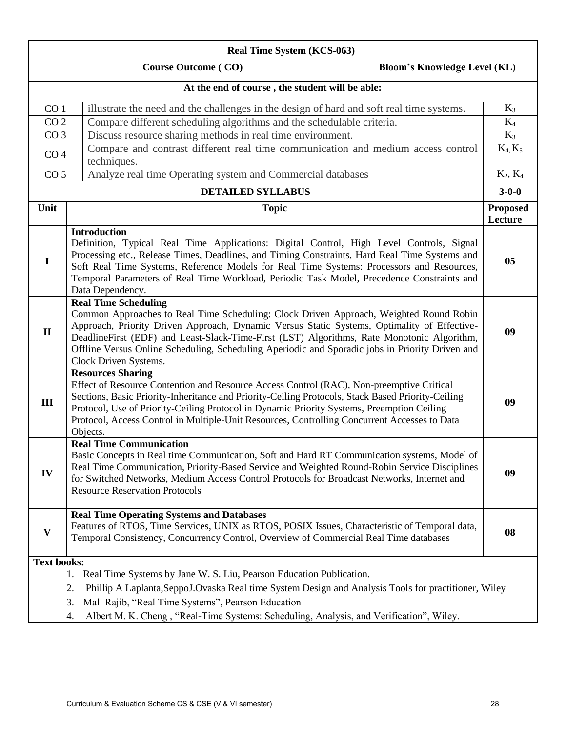| Real Time System (KCS-063)                                                                                                                                                                                                                                                                                                                                                                                                                 |                                                                                                                                                                                                                                                                                                                                                                                                                                                |                            |
|--------------------------------------------------------------------------------------------------------------------------------------------------------------------------------------------------------------------------------------------------------------------------------------------------------------------------------------------------------------------------------------------------------------------------------------------|------------------------------------------------------------------------------------------------------------------------------------------------------------------------------------------------------------------------------------------------------------------------------------------------------------------------------------------------------------------------------------------------------------------------------------------------|----------------------------|
| <b>Course Outcome (CO)</b><br><b>Bloom's Knowledge Level (KL)</b>                                                                                                                                                                                                                                                                                                                                                                          |                                                                                                                                                                                                                                                                                                                                                                                                                                                |                            |
|                                                                                                                                                                                                                                                                                                                                                                                                                                            | At the end of course, the student will be able:                                                                                                                                                                                                                                                                                                                                                                                                |                            |
| illustrate the need and the challenges in the design of hard and soft real time systems.<br>CO <sub>1</sub>                                                                                                                                                                                                                                                                                                                                |                                                                                                                                                                                                                                                                                                                                                                                                                                                | $K_3$                      |
| CO <sub>2</sub>                                                                                                                                                                                                                                                                                                                                                                                                                            | Compare different scheduling algorithms and the schedulable criteria.                                                                                                                                                                                                                                                                                                                                                                          | $K_4$                      |
| CO <sub>3</sub>                                                                                                                                                                                                                                                                                                                                                                                                                            | Discuss resource sharing methods in real time environment.                                                                                                                                                                                                                                                                                                                                                                                     | $K_3$                      |
| CO <sub>4</sub>                                                                                                                                                                                                                                                                                                                                                                                                                            | Compare and contrast different real time communication and medium access control<br>techniques.                                                                                                                                                                                                                                                                                                                                                | $K_4, K_5$                 |
| CO <sub>5</sub>                                                                                                                                                                                                                                                                                                                                                                                                                            | Analyze real time Operating system and Commercial databases                                                                                                                                                                                                                                                                                                                                                                                    | $K_2, K_4$                 |
|                                                                                                                                                                                                                                                                                                                                                                                                                                            | <b>DETAILED SYLLABUS</b>                                                                                                                                                                                                                                                                                                                                                                                                                       | $3 - 0 - 0$                |
| Unit                                                                                                                                                                                                                                                                                                                                                                                                                                       | <b>Topic</b>                                                                                                                                                                                                                                                                                                                                                                                                                                   | <b>Proposed</b><br>Lecture |
| $\mathbf I$                                                                                                                                                                                                                                                                                                                                                                                                                                | <b>Introduction</b><br>Definition, Typical Real Time Applications: Digital Control, High Level Controls, Signal<br>Processing etc., Release Times, Deadlines, and Timing Constraints, Hard Real Time Systems and<br>Soft Real Time Systems, Reference Models for Real Time Systems: Processors and Resources,<br>Temporal Parameters of Real Time Workload, Periodic Task Model, Precedence Constraints and<br>Data Dependency.                | 0 <sub>5</sub>             |
| $\mathbf{I}$                                                                                                                                                                                                                                                                                                                                                                                                                               | <b>Real Time Scheduling</b><br>Common Approaches to Real Time Scheduling: Clock Driven Approach, Weighted Round Robin<br>Approach, Priority Driven Approach, Dynamic Versus Static Systems, Optimality of Effective-<br>DeadlineFirst (EDF) and Least-Slack-Time-First (LST) Algorithms, Rate Monotonic Algorithm,<br>Offline Versus Online Scheduling, Scheduling Aperiodic and Sporadic jobs in Priority Driven and<br>Clock Driven Systems. |                            |
| <b>Resources Sharing</b><br>Effect of Resource Contention and Resource Access Control (RAC), Non-preemptive Critical<br>Sections, Basic Priority-Inheritance and Priority-Ceiling Protocols, Stack Based Priority-Ceiling<br>III<br>Protocol, Use of Priority-Ceiling Protocol in Dynamic Priority Systems, Preemption Ceiling<br>Protocol, Access Control in Multiple-Unit Resources, Controlling Concurrent Accesses to Data<br>Objects. |                                                                                                                                                                                                                                                                                                                                                                                                                                                | 09                         |
| IV                                                                                                                                                                                                                                                                                                                                                                                                                                         | <b>Real Time Communication</b><br>Basic Concepts in Real time Communication, Soft and Hard RT Communication systems, Model of<br>Real Time Communication, Priority-Based Service and Weighted Round-Robin Service Disciplines<br>for Switched Networks, Medium Access Control Protocols for Broadcast Networks, Internet and<br><b>Resource Reservation Protocols</b>                                                                          |                            |
| V                                                                                                                                                                                                                                                                                                                                                                                                                                          | <b>Real Time Operating Systems and Databases</b><br>Features of RTOS, Time Services, UNIX as RTOS, POSIX Issues, Characteristic of Temporal data,<br>Temporal Consistency, Concurrency Control, Overview of Commercial Real Time databases                                                                                                                                                                                                     | 08                         |
| <b>Text books:</b><br>Real Time Systems by Jane W. S. Liu, Pearson Education Publication.<br>1.<br>Phillip A Laplanta, SeppoJ. Ovaska Real time System Design and Analysis Tools for practitioner, Wiley<br>2.<br>Mall Rajib, "Real Time Systems", Pearson Education<br>3.<br>Albert M. K. Cheng, "Real-Time Systems: Scheduling, Analysis, and Verification", Wiley.<br>4.                                                                |                                                                                                                                                                                                                                                                                                                                                                                                                                                |                            |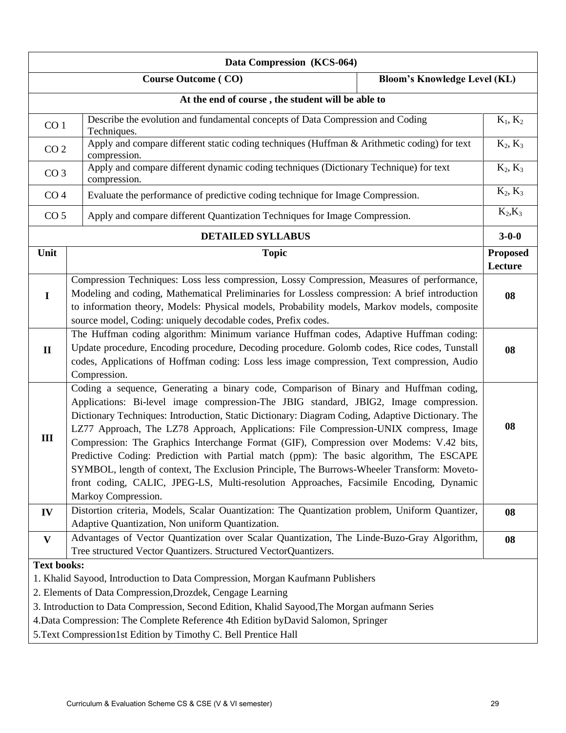| Data Compression (KCS-064)                                                                                                                                                                                                                                                                                                                                                                                                                                                                                                                                                                                                                                                                                                                                       |                                                                                                                                                                                                                                                                                                                                                               |    |                            |
|------------------------------------------------------------------------------------------------------------------------------------------------------------------------------------------------------------------------------------------------------------------------------------------------------------------------------------------------------------------------------------------------------------------------------------------------------------------------------------------------------------------------------------------------------------------------------------------------------------------------------------------------------------------------------------------------------------------------------------------------------------------|---------------------------------------------------------------------------------------------------------------------------------------------------------------------------------------------------------------------------------------------------------------------------------------------------------------------------------------------------------------|----|----------------------------|
| <b>Course Outcome (CO)</b><br><b>Bloom's Knowledge Level (KL)</b>                                                                                                                                                                                                                                                                                                                                                                                                                                                                                                                                                                                                                                                                                                |                                                                                                                                                                                                                                                                                                                                                               |    |                            |
| At the end of course, the student will be able to                                                                                                                                                                                                                                                                                                                                                                                                                                                                                                                                                                                                                                                                                                                |                                                                                                                                                                                                                                                                                                                                                               |    |                            |
|                                                                                                                                                                                                                                                                                                                                                                                                                                                                                                                                                                                                                                                                                                                                                                  | Describe the evolution and fundamental concepts of Data Compression and Coding<br>CO <sub>1</sub><br>Techniques.                                                                                                                                                                                                                                              |    | $K_1, K_2$                 |
| CO <sub>2</sub>                                                                                                                                                                                                                                                                                                                                                                                                                                                                                                                                                                                                                                                                                                                                                  | Apply and compare different static coding techniques (Huffman & Arithmetic coding) for text<br>compression.                                                                                                                                                                                                                                                   |    | $K_2, K_3$                 |
| CO <sub>3</sub>                                                                                                                                                                                                                                                                                                                                                                                                                                                                                                                                                                                                                                                                                                                                                  | Apply and compare different dynamic coding techniques (Dictionary Technique) for text<br>compression.                                                                                                                                                                                                                                                         |    | $K_2, K_3$                 |
| CO <sub>4</sub>                                                                                                                                                                                                                                                                                                                                                                                                                                                                                                                                                                                                                                                                                                                                                  | Evaluate the performance of predictive coding technique for Image Compression.                                                                                                                                                                                                                                                                                |    | $K_2, K_3$                 |
| CO <sub>5</sub>                                                                                                                                                                                                                                                                                                                                                                                                                                                                                                                                                                                                                                                                                                                                                  | Apply and compare different Quantization Techniques for Image Compression.                                                                                                                                                                                                                                                                                    |    | $K_2,K_3$                  |
|                                                                                                                                                                                                                                                                                                                                                                                                                                                                                                                                                                                                                                                                                                                                                                  | <b>DETAILED SYLLABUS</b>                                                                                                                                                                                                                                                                                                                                      |    | $3 - 0 - 0$                |
| Unit                                                                                                                                                                                                                                                                                                                                                                                                                                                                                                                                                                                                                                                                                                                                                             | <b>Topic</b>                                                                                                                                                                                                                                                                                                                                                  |    | <b>Proposed</b><br>Lecture |
| $\mathbf I$                                                                                                                                                                                                                                                                                                                                                                                                                                                                                                                                                                                                                                                                                                                                                      | Compression Techniques: Loss less compression, Lossy Compression, Measures of performance,<br>Modeling and coding, Mathematical Preliminaries for Lossless compression: A brief introduction<br>to information theory, Models: Physical models, Probability models, Markov models, composite<br>source model, Coding: uniquely decodable codes, Prefix codes. |    | 08                         |
| $\mathbf{I}$                                                                                                                                                                                                                                                                                                                                                                                                                                                                                                                                                                                                                                                                                                                                                     | The Huffman coding algorithm: Minimum variance Huffman codes, Adaptive Huffman coding:<br>Update procedure, Encoding procedure, Decoding procedure. Golomb codes, Rice codes, Tunstall<br>codes, Applications of Hoffman coding: Loss less image compression, Text compression, Audio<br>Compression.                                                         |    | 08                         |
| Coding a sequence, Generating a binary code, Comparison of Binary and Huffman coding,<br>Applications: Bi-level image compression-The JBIG standard, JBIG2, Image compression.<br>Dictionary Techniques: Introduction, Static Dictionary: Diagram Coding, Adaptive Dictionary. The<br>LZ77 Approach, The LZ78 Approach, Applications: File Compression-UNIX compress, Image<br>III<br>Compression: The Graphics Interchange Format (GIF), Compression over Modems: V.42 bits,<br>Predictive Coding: Prediction with Partial match (ppm): The basic algorithm, The ESCAPE<br>SYMBOL, length of context, The Exclusion Principle, The Burrows-Wheeler Transform: Moveto-<br>front coding, CALIC, JPEG-LS, Multi-resolution Approaches, Facsimile Encoding, Dynamic |                                                                                                                                                                                                                                                                                                                                                               | 08 |                            |
| IV                                                                                                                                                                                                                                                                                                                                                                                                                                                                                                                                                                                                                                                                                                                                                               | Markoy Compression.<br>Distortion criteria, Models, Scalar Ouantization: The Quantization problem, Uniform Quantizer,<br>Adaptive Quantization, Non uniform Quantization.                                                                                                                                                                                     |    | 08                         |
| $\mathbf{V}$                                                                                                                                                                                                                                                                                                                                                                                                                                                                                                                                                                                                                                                                                                                                                     | Advantages of Vector Quantization over Scalar Quantization, The Linde-Buzo-Gray Algorithm,<br>Tree structured Vector Quantizers. Structured VectorQuantizers.                                                                                                                                                                                                 |    | 08                         |
| <b>Text books:</b>                                                                                                                                                                                                                                                                                                                                                                                                                                                                                                                                                                                                                                                                                                                                               | 1. Khalid Sayood, Introduction to Data Compression, Morgan Kaufmann Publishers<br>2. Elements of Data Compression, Drozdek, Cengage Learning<br>3. Introduction to Data Compression, Second Edition, Khalid Sayood, The Morgan aufmann Series                                                                                                                 |    |                            |
|                                                                                                                                                                                                                                                                                                                                                                                                                                                                                                                                                                                                                                                                                                                                                                  | 4. Data Compression: The Complete Reference 4th Edition by David Salomon, Springer<br>5. Text Compression1st Edition by Timothy C. Bell Prentice Hall                                                                                                                                                                                                         |    |                            |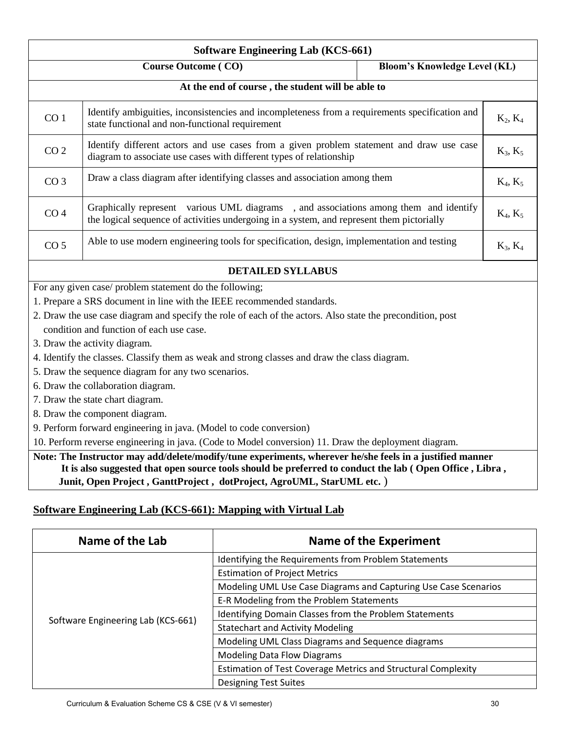| <b>Software Engineering Lab (KCS-661)</b>                                                                                                                                                            |                                                                                                            |            |  |
|------------------------------------------------------------------------------------------------------------------------------------------------------------------------------------------------------|------------------------------------------------------------------------------------------------------------|------------|--|
| <b>Course Outcome (CO)</b><br><b>Bloom's Knowledge Level (KL)</b>                                                                                                                                    |                                                                                                            |            |  |
|                                                                                                                                                                                                      | At the end of course, the student will be able to                                                          |            |  |
| Identify ambiguities, inconsistencies and incompleteness from a requirements specification and<br>CO <sub>1</sub><br>state functional and non-functional requirement                                 |                                                                                                            | $K_2, K_4$ |  |
| Identify different actors and use cases from a given problem statement and draw use case<br>CO <sub>2</sub><br>diagram to associate use cases with different types of relationship                   |                                                                                                            | $K_3, K_5$ |  |
| CO <sub>3</sub>                                                                                                                                                                                      | Draw a class diagram after identifying classes and association among them<br>$K_4, K_5$                    |            |  |
| Graphically represent various UML diagrams, and associations among them and identify<br>CO <sub>4</sub><br>the logical sequence of activities undergoing in a system, and represent them pictorially |                                                                                                            | $K_4, K_5$ |  |
| Able to use modern engineering tools for specification, design, implementation and testing<br>CO <sub>5</sub>                                                                                        |                                                                                                            | $K_3, K_4$ |  |
|                                                                                                                                                                                                      | <b>DETAILED SYLLABUS</b>                                                                                   |            |  |
|                                                                                                                                                                                                      | For any given case/ problem statement do the following;                                                    |            |  |
|                                                                                                                                                                                                      | 1. Prepare a SRS document in line with the IEEE recommended standards.                                     |            |  |
|                                                                                                                                                                                                      | 2. Draw the use case diagram and specify the role of each of the actors. Also state the precondition, post |            |  |
| condition and function of each use case.                                                                                                                                                             |                                                                                                            |            |  |
|                                                                                                                                                                                                      | 3. Draw the activity diagram.                                                                              |            |  |
|                                                                                                                                                                                                      | 4. Identify the classes. Classify them as weak and strong classes and draw the class diagram.              |            |  |
|                                                                                                                                                                                                      | 5. Draw the sequence diagram for any two scenarios.                                                        |            |  |
| 6. Draw the collaboration diagram.<br>7. Draw the state chart diagram.                                                                                                                               |                                                                                                            |            |  |
| 8. Draw the component diagram.                                                                                                                                                                       |                                                                                                            |            |  |
| 9. Perform forward engineering in java. (Model to code conversion)                                                                                                                                   |                                                                                                            |            |  |
| 10. Perform reverse engineering in java. (Code to Model conversion) 11. Draw the deployment diagram.                                                                                                 |                                                                                                            |            |  |
| Note: The Instructor may add/delete/modify/tune experiments, wherever he/she feels in a justified manner                                                                                             |                                                                                                            |            |  |
| It is also suggested that open source tools should be preferred to conduct the lab (Open Office, Libra,                                                                                              |                                                                                                            |            |  |
|                                                                                                                                                                                                      | Junit, Open Project, GanttProject, dotProject, AgroUML, StarUML etc.)                                      |            |  |

## **Software Engineering Lab (KCS-661): Mapping with Virtual Lab**

| Name of the Lab                    | <b>Name of the Experiment</b>                                        |  |
|------------------------------------|----------------------------------------------------------------------|--|
|                                    | Identifying the Requirements from Problem Statements                 |  |
|                                    | <b>Estimation of Project Metrics</b>                                 |  |
|                                    | Modeling UML Use Case Diagrams and Capturing Use Case Scenarios      |  |
|                                    | E-R Modeling from the Problem Statements                             |  |
| Software Engineering Lab (KCS-661) | Identifying Domain Classes from the Problem Statements               |  |
|                                    | <b>Statechart and Activity Modeling</b>                              |  |
|                                    | Modeling UML Class Diagrams and Sequence diagrams                    |  |
|                                    | <b>Modeling Data Flow Diagrams</b>                                   |  |
|                                    | <b>Estimation of Test Coverage Metrics and Structural Complexity</b> |  |
|                                    | <b>Designing Test Suites</b>                                         |  |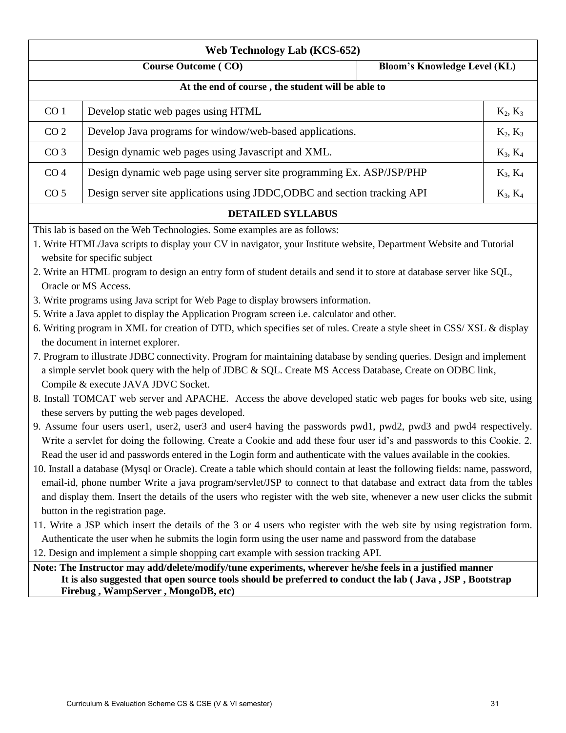| <b>Web Technology Lab (KCS-652)</b>                                                                                                                          |                                                                                                                              |  |            |
|--------------------------------------------------------------------------------------------------------------------------------------------------------------|------------------------------------------------------------------------------------------------------------------------------|--|------------|
| <b>Course Outcome (CO)</b><br><b>Bloom's Knowledge Level (KL)</b>                                                                                            |                                                                                                                              |  |            |
| At the end of course, the student will be able to                                                                                                            |                                                                                                                              |  |            |
| CO <sub>1</sub>                                                                                                                                              | Develop static web pages using HTML                                                                                          |  | $K_2, K_3$ |
| CO <sub>2</sub>                                                                                                                                              | Develop Java programs for window/web-based applications.                                                                     |  | $K_2, K_3$ |
| CO <sub>3</sub>                                                                                                                                              | Design dynamic web pages using Javascript and XML.                                                                           |  | $K_3, K_4$ |
| CO <sub>4</sub>                                                                                                                                              | Design dynamic web page using server site programming Ex. ASP/JSP/PHP                                                        |  | $K_3, K_4$ |
| CO <sub>5</sub>                                                                                                                                              | Design server site applications using JDDC, ODBC and section tracking API                                                    |  | $K_3, K_4$ |
|                                                                                                                                                              | <b>DETAILED SYLLABUS</b>                                                                                                     |  |            |
|                                                                                                                                                              | This lab is based on the Web Technologies. Some examples are as follows:                                                     |  |            |
|                                                                                                                                                              | 1. Write HTML/Java scripts to display your CV in navigator, your Institute website, Department Website and Tutorial          |  |            |
|                                                                                                                                                              | website for specific subject                                                                                                 |  |            |
|                                                                                                                                                              | 2. Write an HTML program to design an entry form of student details and send it to store at database server like SQL,        |  |            |
|                                                                                                                                                              | Oracle or MS Access.                                                                                                         |  |            |
|                                                                                                                                                              | 3. Write programs using Java script for Web Page to display browsers information.                                            |  |            |
|                                                                                                                                                              | 5. Write a Java applet to display the Application Program screen i.e. calculator and other.                                  |  |            |
| 6. Writing program in XML for creation of DTD, which specifies set of rules. Create a style sheet in CSS/XSL & display<br>the document in internet explorer. |                                                                                                                              |  |            |
|                                                                                                                                                              | 7. Program to illustrate JDBC connectivity. Program for maintaining database by sending queries. Design and implement        |  |            |
|                                                                                                                                                              | a simple servlet book query with the help of JDBC & SQL. Create MS Access Database, Create on ODBC link,                     |  |            |
|                                                                                                                                                              | Compile & execute JAVA JDVC Socket.                                                                                          |  |            |
|                                                                                                                                                              | 8. Install TOMCAT web server and APACHE. Access the above developed static web pages for books web site, using               |  |            |
| these servers by putting the web pages developed.                                                                                                            |                                                                                                                              |  |            |
| 9. Assume four users user1, user2, user3 and user4 having the passwords pwd1, pwd2, pwd3 and pwd4 respectively.                                              |                                                                                                                              |  |            |
|                                                                                                                                                              | Write a servlet for doing the following. Create a Cookie and add these four user id's and passwords to this Cookie. 2.       |  |            |
|                                                                                                                                                              | Read the user id and passwords entered in the Login form and authenticate with the values available in the cookies.          |  |            |
|                                                                                                                                                              | 10. Install a database (Mysql or Oracle). Create a table which should contain at least the following fields: name, password, |  |            |
|                                                                                                                                                              | email-id, phone number Write a java program/servlet/JSP to connect to that database and extract data from the tables         |  |            |
| and display them. Insert the details of the users who register with the web site, whenever a new user clicks the submit                                      |                                                                                                                              |  |            |
| button in the registration page.                                                                                                                             |                                                                                                                              |  |            |
| 11. Write a JSP which insert the details of the 3 or 4 users who register with the web site by using registration form.                                      |                                                                                                                              |  |            |
|                                                                                                                                                              | Authenticate the user when he submits the login form using the user name and password from the database                      |  |            |
|                                                                                                                                                              | 12. Design and implement a simple shopping cart example with session tracking API.                                           |  |            |
| Note: The Instructor may add/delete/modify/tune experiments, wherever he/she feels in a justified manner                                                     |                                                                                                                              |  |            |
|                                                                                                                                                              | It is also suggested that open source tools should be preferred to conduct the lab (Java, JSP, Bootstrap                     |  |            |
|                                                                                                                                                              | Firebug, WampServer, MongoDB, etc)                                                                                           |  |            |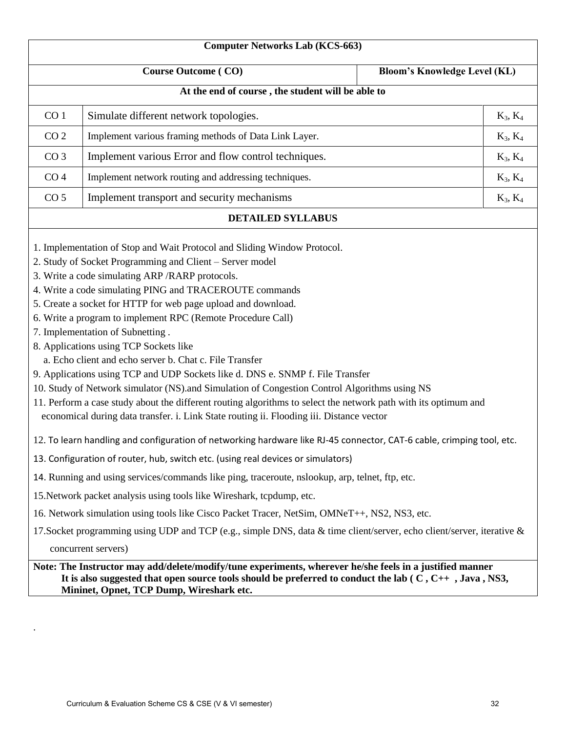|                 | <b>Computer Networks Lab (KCS-663)</b>                                                                                                                                                                                                                                                                                                                                                                                                                                                                                                                                                                                                                                                                                                                                                                                                                                                                                        |                                     |
|-----------------|-------------------------------------------------------------------------------------------------------------------------------------------------------------------------------------------------------------------------------------------------------------------------------------------------------------------------------------------------------------------------------------------------------------------------------------------------------------------------------------------------------------------------------------------------------------------------------------------------------------------------------------------------------------------------------------------------------------------------------------------------------------------------------------------------------------------------------------------------------------------------------------------------------------------------------|-------------------------------------|
|                 | <b>Course Outcome (CO)</b>                                                                                                                                                                                                                                                                                                                                                                                                                                                                                                                                                                                                                                                                                                                                                                                                                                                                                                    | <b>Bloom's Knowledge Level (KL)</b> |
|                 | At the end of course, the student will be able to                                                                                                                                                                                                                                                                                                                                                                                                                                                                                                                                                                                                                                                                                                                                                                                                                                                                             |                                     |
| CO <sub>1</sub> | Simulate different network topologies.                                                                                                                                                                                                                                                                                                                                                                                                                                                                                                                                                                                                                                                                                                                                                                                                                                                                                        | $K_3, K_4$                          |
| CO <sub>2</sub> | Implement various framing methods of Data Link Layer.                                                                                                                                                                                                                                                                                                                                                                                                                                                                                                                                                                                                                                                                                                                                                                                                                                                                         | $K_3, K_4$                          |
| CO <sub>3</sub> | Implement various Error and flow control techniques.                                                                                                                                                                                                                                                                                                                                                                                                                                                                                                                                                                                                                                                                                                                                                                                                                                                                          | $K_3, K_4$                          |
| CO <sub>4</sub> | Implement network routing and addressing techniques.                                                                                                                                                                                                                                                                                                                                                                                                                                                                                                                                                                                                                                                                                                                                                                                                                                                                          | $K_3, K_4$                          |
| CO <sub>5</sub> | Implement transport and security mechanisms                                                                                                                                                                                                                                                                                                                                                                                                                                                                                                                                                                                                                                                                                                                                                                                                                                                                                   | $K_3, K_4$                          |
|                 | <b>DETAILED SYLLABUS</b>                                                                                                                                                                                                                                                                                                                                                                                                                                                                                                                                                                                                                                                                                                                                                                                                                                                                                                      |                                     |
|                 | 1. Implementation of Stop and Wait Protocol and Sliding Window Protocol.<br>2. Study of Socket Programming and Client - Server model<br>3. Write a code simulating ARP / RARP protocols.<br>4. Write a code simulating PING and TRACEROUTE commands<br>5. Create a socket for HTTP for web page upload and download.<br>6. Write a program to implement RPC (Remote Procedure Call)<br>7. Implementation of Subnetting.<br>8. Applications using TCP Sockets like<br>a. Echo client and echo server b. Chat c. File Transfer<br>9. Applications using TCP and UDP Sockets like d. DNS e. SNMP f. File Transfer<br>10. Study of Network simulator (NS).and Simulation of Congestion Control Algorithms using NS<br>11. Perform a case study about the different routing algorithms to select the network path with its optimum and<br>economical during data transfer. i. Link State routing ii. Flooding iii. Distance vector |                                     |
|                 | 12. To learn handling and configuration of networking hardware like RJ-45 connector, CAT-6 cable, crimping tool, etc.                                                                                                                                                                                                                                                                                                                                                                                                                                                                                                                                                                                                                                                                                                                                                                                                         |                                     |
|                 | 13. Configuration of router, hub, switch etc. (using real devices or simulators)                                                                                                                                                                                                                                                                                                                                                                                                                                                                                                                                                                                                                                                                                                                                                                                                                                              |                                     |
|                 | 14. Running and using services/commands like ping, traceroute, nslookup, arp, telnet, ftp, etc.                                                                                                                                                                                                                                                                                                                                                                                                                                                                                                                                                                                                                                                                                                                                                                                                                               |                                     |
|                 | 15. Network packet analysis using tools like Wireshark, tcpdump, etc.                                                                                                                                                                                                                                                                                                                                                                                                                                                                                                                                                                                                                                                                                                                                                                                                                                                         |                                     |
|                 | 16. Network simulation using tools like Cisco Packet Tracer, NetSim, OMNeT++, NS2, NS3, etc.                                                                                                                                                                                                                                                                                                                                                                                                                                                                                                                                                                                                                                                                                                                                                                                                                                  |                                     |
|                 | 17. Socket programming using UDP and TCP (e.g., simple DNS, data & time client/server, echo client/server, iterative &                                                                                                                                                                                                                                                                                                                                                                                                                                                                                                                                                                                                                                                                                                                                                                                                        |                                     |
|                 | concurrent servers)                                                                                                                                                                                                                                                                                                                                                                                                                                                                                                                                                                                                                                                                                                                                                                                                                                                                                                           |                                     |
|                 | Note: The Instructor may add/delete/modify/tune experiments, wherever he/she feels in a justified manner<br>It is also suggested that open source tools should be preferred to conduct the lab $(C, C_{++}, J_{av}, NS3, S_{+})$                                                                                                                                                                                                                                                                                                                                                                                                                                                                                                                                                                                                                                                                                              |                                     |

**Mininet, Opnet, TCP Dump, Wireshark etc.**

.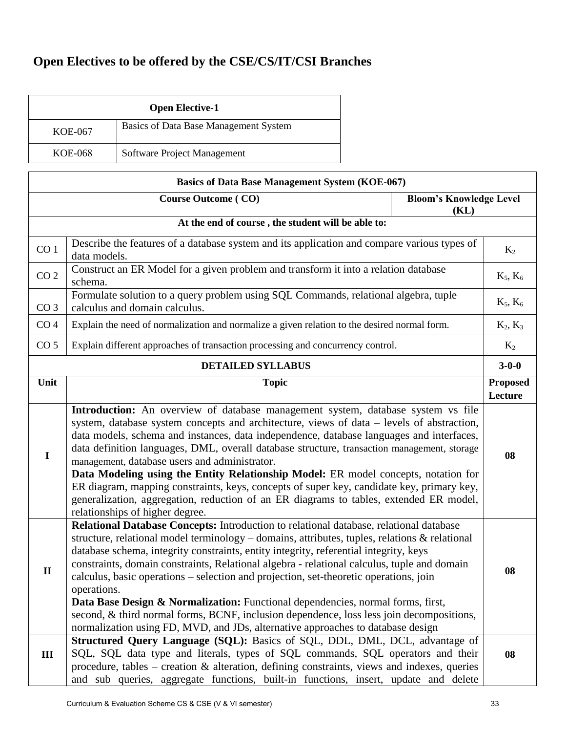## **Open Electives to be offered by the CSE/CS/IT/CSI Branches**

| <b>Open Elective-1</b> |                                       |  |
|------------------------|---------------------------------------|--|
| KOE-067                | Basics of Data Base Management System |  |
| KOE-068                | Software Project Management           |  |

| <b>Basics of Data Base Management System (KOE-067)</b>               |                                                                                                                                                                                                                                                                                                                                                                                                                                                                                                                                                                                                                                                                                                                                                                                                                                             |             |
|----------------------------------------------------------------------|---------------------------------------------------------------------------------------------------------------------------------------------------------------------------------------------------------------------------------------------------------------------------------------------------------------------------------------------------------------------------------------------------------------------------------------------------------------------------------------------------------------------------------------------------------------------------------------------------------------------------------------------------------------------------------------------------------------------------------------------------------------------------------------------------------------------------------------------|-------------|
| <b>Course Outcome (CO)</b><br><b>Bloom's Knowledge Level</b><br>(KL) |                                                                                                                                                                                                                                                                                                                                                                                                                                                                                                                                                                                                                                                                                                                                                                                                                                             |             |
| At the end of course, the student will be able to:                   |                                                                                                                                                                                                                                                                                                                                                                                                                                                                                                                                                                                                                                                                                                                                                                                                                                             |             |
| CO <sub>1</sub>                                                      | Describe the features of a database system and its application and compare various types of<br>data models.                                                                                                                                                                                                                                                                                                                                                                                                                                                                                                                                                                                                                                                                                                                                 |             |
| CO <sub>2</sub>                                                      | Construct an ER Model for a given problem and transform it into a relation database<br>schema.                                                                                                                                                                                                                                                                                                                                                                                                                                                                                                                                                                                                                                                                                                                                              | $K_5, K_6$  |
| CO <sub>3</sub>                                                      | Formulate solution to a query problem using SQL Commands, relational algebra, tuple<br>calculus and domain calculus.                                                                                                                                                                                                                                                                                                                                                                                                                                                                                                                                                                                                                                                                                                                        | $K_5, K_6$  |
| CO <sub>4</sub>                                                      | Explain the need of normalization and normalize a given relation to the desired normal form.                                                                                                                                                                                                                                                                                                                                                                                                                                                                                                                                                                                                                                                                                                                                                | $K_2, K_3$  |
| CO <sub>5</sub>                                                      | Explain different approaches of transaction processing and concurrency control.                                                                                                                                                                                                                                                                                                                                                                                                                                                                                                                                                                                                                                                                                                                                                             | $K_2$       |
|                                                                      | <b>DETAILED SYLLABUS</b>                                                                                                                                                                                                                                                                                                                                                                                                                                                                                                                                                                                                                                                                                                                                                                                                                    | $3 - 0 - 0$ |
| Unit                                                                 | <b>Topic</b>                                                                                                                                                                                                                                                                                                                                                                                                                                                                                                                                                                                                                                                                                                                                                                                                                                |             |
| $\mathbf I$                                                          | Introduction: An overview of database management system, database system vs file<br>system, database system concepts and architecture, views of data – levels of abstraction,<br>data models, schema and instances, data independence, database languages and interfaces,<br>data definition languages, DML, overall database structure, transaction management, storage<br>management, database users and administrator.<br>Data Modeling using the Entity Relationship Model: ER model concepts, notation for<br>ER diagram, mapping constraints, keys, concepts of super key, candidate key, primary key,<br>generalization, aggregation, reduction of an ER diagrams to tables, extended ER model,<br>relationships of higher degree.                                                                                                   |             |
| $\mathbf{I}$                                                         | Relational Database Concepts: Introduction to relational database, relational database<br>structure, relational model terminology – domains, attributes, tuples, relations $\&$ relational<br>database schema, integrity constraints, entity integrity, referential integrity, keys<br>constraints, domain constraints, Relational algebra - relational calculus, tuple and domain<br>calculus, basic operations – selection and projection, set-theoretic operations, join<br>operations.<br>Data Base Design & Normalization: Functional dependencies, normal forms, first,<br>second, & third normal forms, BCNF, inclusion dependence, loss less join decompositions,<br>normalization using FD, MVD, and JDs, alternative approaches to database design<br>Structured Query Language (SQL): Basics of SQL, DDL, DML, DCL, advantage of |             |
| Ш                                                                    | SQL, SQL data type and literals, types of SQL commands, SQL operators and their<br>procedure, tables – creation $\&$ alteration, defining constraints, views and indexes, queries<br>and sub queries, aggregate functions, built-in functions, insert, update and delete                                                                                                                                                                                                                                                                                                                                                                                                                                                                                                                                                                    | 08          |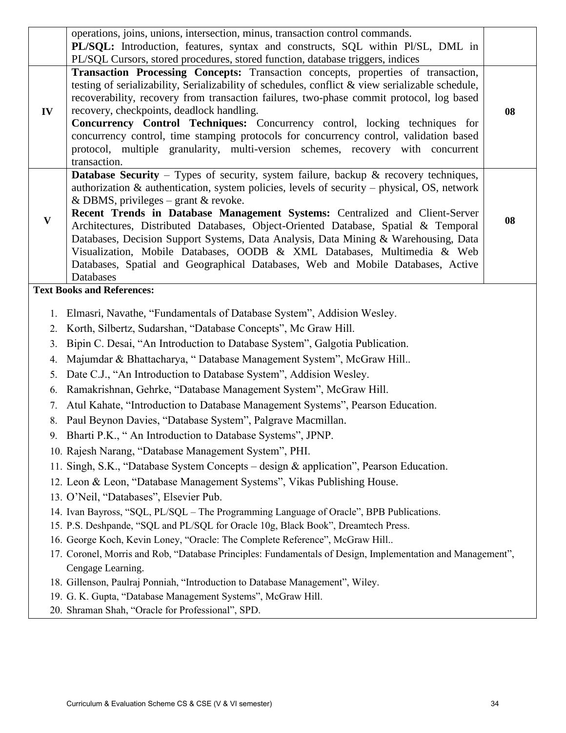|              | operations, joins, unions, intersection, minus, transaction control commands.<br>PL/SQL: Introduction, features, syntax and constructs, SQL within Pl/SL, DML in<br>PL/SQL Cursors, stored procedures, stored function, database triggers, indices                                                                                                                                                                                                                                                                                                                                                                                                                             |    |
|--------------|--------------------------------------------------------------------------------------------------------------------------------------------------------------------------------------------------------------------------------------------------------------------------------------------------------------------------------------------------------------------------------------------------------------------------------------------------------------------------------------------------------------------------------------------------------------------------------------------------------------------------------------------------------------------------------|----|
| IV           | Transaction Processing Concepts: Transaction concepts, properties of transaction,<br>testing of serializability, Serializability of schedules, conflict & view serializable schedule,<br>recoverability, recovery from transaction failures, two-phase commit protocol, log based<br>recovery, checkpoints, deadlock handling.<br>Concurrency Control Techniques: Concurrency control, locking techniques for<br>concurrency control, time stamping protocols for concurrency control, validation based<br>protocol, multiple granularity, multi-version schemes, recovery with concurrent<br>transaction.                                                                     | 08 |
| $\mathbf{V}$ | <b>Database Security</b> – Types of security, system failure, backup $\&$ recovery techniques,<br>authorization $\&$ authorication, system policies, levels of security – physical, OS, network<br>& DBMS, privileges – grant & revoke.<br>Recent Trends in Database Management Systems: Centralized and Client-Server<br>Architectures, Distributed Databases, Object-Oriented Database, Spatial & Temporal<br>Databases, Decision Support Systems, Data Analysis, Data Mining & Warehousing, Data<br>Visualization, Mobile Databases, OODB & XML Databases, Multimedia & Web<br>Databases, Spatial and Geographical Databases, Web and Mobile Databases, Active<br>Databases | 08 |
|              | <b>Text Books and References:</b>                                                                                                                                                                                                                                                                                                                                                                                                                                                                                                                                                                                                                                              |    |
|              | 1. Elmasri, Navathe, "Fundamentals of Database System", Addision Wesley.                                                                                                                                                                                                                                                                                                                                                                                                                                                                                                                                                                                                       |    |
| 2.           | Korth, Silbertz, Sudarshan, "Database Concepts", Mc Graw Hill.                                                                                                                                                                                                                                                                                                                                                                                                                                                                                                                                                                                                                 |    |
| 3.           | Bipin C. Desai, "An Introduction to Database System", Galgotia Publication.                                                                                                                                                                                                                                                                                                                                                                                                                                                                                                                                                                                                    |    |
| 4.           | Majumdar & Bhattacharya, "Database Management System", McGraw Hill                                                                                                                                                                                                                                                                                                                                                                                                                                                                                                                                                                                                             |    |
| 5.           | Date C.J., "An Introduction to Database System", Addision Wesley.                                                                                                                                                                                                                                                                                                                                                                                                                                                                                                                                                                                                              |    |
| 6.           | Ramakrishnan, Gehrke, "Database Management System", McGraw Hill.                                                                                                                                                                                                                                                                                                                                                                                                                                                                                                                                                                                                               |    |
| 7.           | Atul Kahate, "Introduction to Database Management Systems", Pearson Education.                                                                                                                                                                                                                                                                                                                                                                                                                                                                                                                                                                                                 |    |
| 8.           | Paul Beynon Davies, "Database System", Palgrave Macmillan.                                                                                                                                                                                                                                                                                                                                                                                                                                                                                                                                                                                                                     |    |
| 9            | Bharti P.K., "An Introduction to Database Systems", JPNP.                                                                                                                                                                                                                                                                                                                                                                                                                                                                                                                                                                                                                      |    |
|              | 10. Rajesh Narang, "Database Management System", PHI.                                                                                                                                                                                                                                                                                                                                                                                                                                                                                                                                                                                                                          |    |
|              | 11. Singh, S.K., "Database System Concepts - design & application", Pearson Education.                                                                                                                                                                                                                                                                                                                                                                                                                                                                                                                                                                                         |    |
|              | 12. Leon & Leon, "Database Management Systems", Vikas Publishing House.                                                                                                                                                                                                                                                                                                                                                                                                                                                                                                                                                                                                        |    |
|              | 13. O'Neil, "Databases", Elsevier Pub.                                                                                                                                                                                                                                                                                                                                                                                                                                                                                                                                                                                                                                         |    |
|              | 14. Ivan Bayross, "SQL, PL/SQL – The Programming Language of Oracle", BPB Publications.                                                                                                                                                                                                                                                                                                                                                                                                                                                                                                                                                                                        |    |
|              | 15. P.S. Deshpande, "SQL and PL/SQL for Oracle 10g, Black Book", Dreamtech Press.                                                                                                                                                                                                                                                                                                                                                                                                                                                                                                                                                                                              |    |
|              | 16. George Koch, Kevin Loney, "Oracle: The Complete Reference", McGraw Hill                                                                                                                                                                                                                                                                                                                                                                                                                                                                                                                                                                                                    |    |
|              | 17. Coronel, Morris and Rob, "Database Principles: Fundamentals of Design, Implementation and Management",                                                                                                                                                                                                                                                                                                                                                                                                                                                                                                                                                                     |    |
|              | Cengage Learning.                                                                                                                                                                                                                                                                                                                                                                                                                                                                                                                                                                                                                                                              |    |
|              | 18. Gillenson, Paulraj Ponniah, "Introduction to Database Management", Wiley.<br>19. G. K. Gupta, "Database Management Systems", McGraw Hill.                                                                                                                                                                                                                                                                                                                                                                                                                                                                                                                                  |    |
|              | 20. Shraman Shah, "Oracle for Professional", SPD.                                                                                                                                                                                                                                                                                                                                                                                                                                                                                                                                                                                                                              |    |
|              |                                                                                                                                                                                                                                                                                                                                                                                                                                                                                                                                                                                                                                                                                |    |